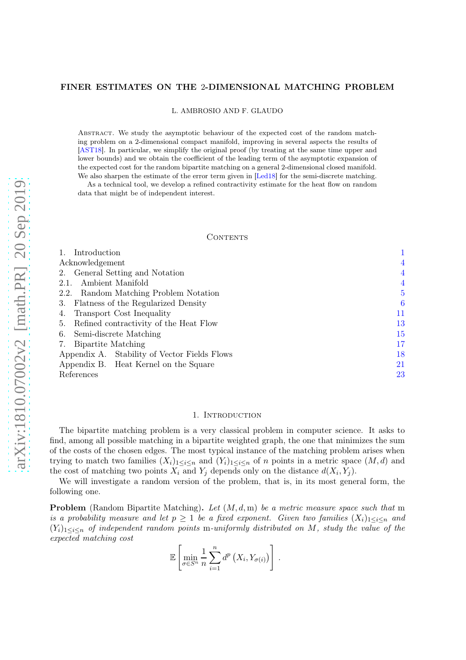### FINER ESTIMATES ON THE 2-DIMENSIONAL MATCHING PROBLEM

L. AMBROSIO AND F. GLAUDO

Abstract. We study the asymptotic behaviour of the expected cost of the random matching problem on a 2-dimensional compact manifold, improving in several aspects the results of [\[AST18\]](#page-22-0). In particular, we simplify the original proof (by treating at the same time upper and lower bounds) and we obtain the coefficient of the leading term of the asymptotic expansion of the expected cost for the random bipartite matching on a general 2-dimensional closed manifold. We also sharpen the estimate of the error term given in [\[Led18\]](#page-23-0) for the semi-discrete matching.

As a technical tool, we develop a refined contractivity estimate for the heat flow on random data that might be of independent interest.

## **CONTENTS**

| Introduction                                 |    |
|----------------------------------------------|----|
| Acknowledgement                              | 4  |
| 2. General Setting and Notation              | 4  |
| Ambient Manifold<br>2.1.                     | 4  |
| 2.2. Random Matching Problem Notation        | 5  |
| 3. Flatness of the Regularized Density       | 6  |
| Transport Cost Inequality<br>4.              | 11 |
| Refined contractivity of the Heat Flow<br>5. | 13 |
| 6. Semi-discrete Matching                    | 15 |
| 7. Bipartite Matching                        | 17 |
| Appendix A. Stability of Vector Fields Flows | 18 |
| Appendix B. Heat Kernel on the Square        | 21 |
| References                                   | 23 |

## 1. INTRODUCTION

<span id="page-0-0"></span>The bipartite matching problem is a very classical problem in computer science. It asks to find, among all possible matching in a bipartite weighted graph, the one that minimizes the sum of the costs of the chosen edges. The most typical instance of the matching problem arises when trying to match two families  $(X_i)_{1\leq i\leq n}$  and  $(Y_i)_{1\leq i\leq n}$  of n points in a metric space  $(M, d)$  and the cost of matching two points  $X_i$  and  $Y_j$  depends only on the distance  $d(X_i, Y_j)$ .

We will investigate a random version of the problem, that is, in its most general form, the following one.

**Problem** (Random Bipartite Matching). Let  $(M, d, m)$  be a metric measure space such that m is a probability measure and let  $p \geq 1$  be a fixed exponent. Given two families  $(X_i)_{1 \leq i \leq n}$  and  $(Y_i)_{1\leq i\leq n}$  of independent random points m-uniformly distributed on M, study the value of the expected matching cost

$$
\mathbb{E}\left[\min_{\sigma\in S^n}\frac{1}{n}\sum_{i=1}^nd^p\left(X_i,Y_{\sigma(i)}\right)\right].
$$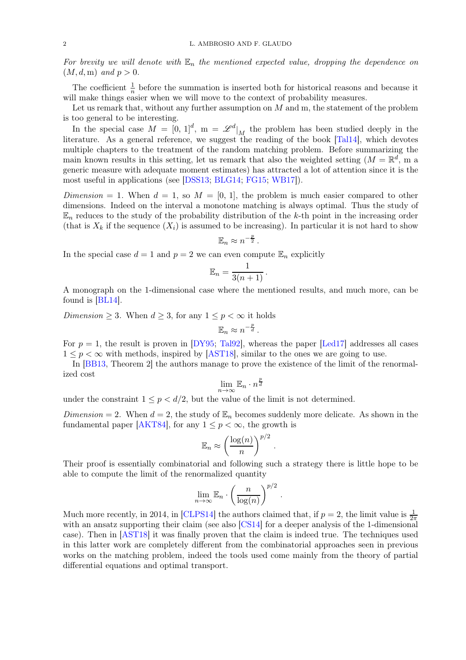For brevity we will denote with  $\mathbb{E}_n$  the mentioned expected value, dropping the dependence on  $(M, d, m)$  and  $p > 0$ .

The coefficient  $\frac{1}{n}$  before the summation is inserted both for historical reasons and because it will make things easier when we will move to the context of probability measures.

Let us remark that, without any further assumption on  $M$  and m, the statement of the problem is too general to be interesting.

In the special case  $M = [0, 1]^d$ ,  $m = \mathcal{L}^d|_M$  the problem has been studied deeply in the literature. As a general reference, we suggest the reading of the book [\[Tal14](#page-23-1)], which devotes multiple chapters to the treatment of the random matching problem. Before summarizing the main known results in this setting, let us remark that also the weighted setting  $(M = \mathbb{R}^d, m$  a generic measure with adequate moment estimates) has attracted a lot of attention since it is the most useful in applications (see [\[DSS13](#page-22-2); [BLG14](#page-22-3); [FG15](#page-23-2); [WB17\]](#page-24-0)).

Dimension = 1. When  $d = 1$ , so  $M = [0, 1]$ , the problem is much easier compared to other dimensions. Indeed on the interval a monotone matching is always optimal. Thus the study of  $\mathbb{E}_n$  reduces to the study of the probability distribution of the k-th point in the increasing order (that is  $X_k$  if the sequence  $(X_i)$  is assumed to be increasing). In particular it is not hard to show

$$
\mathbb{E}_n \approx n^{-\frac{p}{2}}.
$$

In the special case  $d = 1$  and  $p = 2$  we can even compute  $\mathbb{E}_n$  explicitly

$$
\mathbb{E}_n = \frac{1}{3(n+1)}.
$$

A monograph on the 1-dimensional case where the mentioned results, and much more, can be found is [\[BL14](#page-22-4)].

Dimension  $\geq 3$ . When  $d \geq 3$ , for any  $1 \leq p < \infty$  it holds

$$
\mathbb{E}_n \approx n^{-\frac{p}{d}}.
$$

For  $p = 1$ , the result is proven in [\[DY95](#page-22-5); [Tal92\]](#page-24-1), whereas the paper [\[Led17\]](#page-23-3) addresses all cases  $1 \leq p < \infty$  with methods, inspired by [\[AST18](#page-22-0)], similar to the ones we are going to use.

In [\[BB13](#page-22-6), Theorem 2] the authors manage to prove the existence of the limit of the renormalized cost

$$
\lim_{n \to \infty} \mathbb{E}_n \cdot n^{\frac{p}{d}}
$$

under the constraint  $1 \leq p \leq d/2$ , but the value of the limit is not determined.

Dimension = 2. When  $d = 2$ , the study of  $\mathbb{E}_n$  becomes suddenly more delicate. As shown in the fundamental paper [\[AKT84\]](#page-22-7), for any  $1 \leq p < \infty$ , the growth is

$$
\mathbb{E}_n \approx \left(\frac{\log(n)}{n}\right)^{p/2}.
$$

Their proof is essentially combinatorial and following such a strategy there is little hope to be able to compute the limit of the renormalized quantity

$$
\lim_{n \to \infty} \mathbb{E}_n \cdot \left(\frac{n}{\log(n)}\right)^{p/2}
$$

.

Much more recently, in 2014, in [\[CLPS14\]](#page-22-8) the authors claimed that, if  $p = 2$ , the limit value is  $\frac{1}{2\pi}$ with an ansatz supporting their claim (see also [\[CS14](#page-22-9)] for a deeper analysis of the 1-dimensional case). Then in [\[AST18](#page-22-0)] it was finally proven that the claim is indeed true. The techniques used in this latter work are completely different from the combinatorial approaches seen in previous works on the matching problem, indeed the tools used come mainly from the theory of partial differential equations and optimal transport.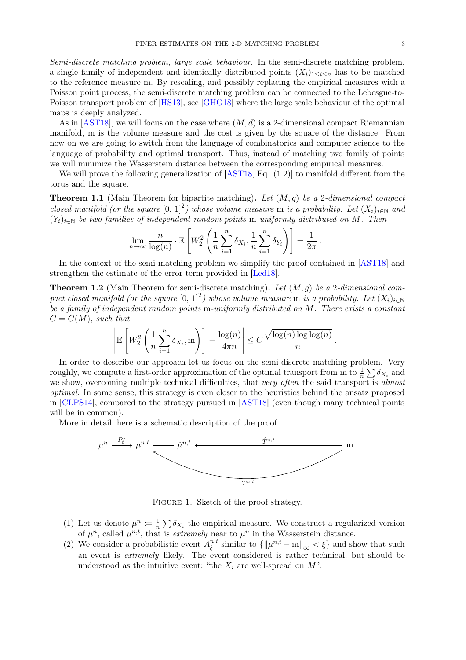Semi-discrete matching problem, large scale behaviour. In the semi-discrete matching problem, a single family of independent and identically distributed points  $(X_i)_{1\leq i\leq n}$  has to be matched to the reference measure m. By rescaling, and possibly replacing the empirical measures with a Poisson point process, the semi-discrete matching problem can be connected to the Lebesgue-to-Poisson transport problem of [\[HS13\]](#page-23-4), see [\[GHO18](#page-23-5)] where the large scale behaviour of the optimal maps is deeply analyzed.

As in  $[AST18]$ , we will focus on the case where  $(M, d)$  is a 2-dimensional compact Riemannian manifold, m is the volume measure and the cost is given by the square of the distance. From now on we are going to switch from the language of combinatorics and computer science to the language of probability and optimal transport. Thus, instead of matching two family of points we will minimize the Wasserstein distance between the corresponding empirical measures.

<span id="page-2-1"></span>We will prove the following generalization of  $[AST18, Eq. (1.2)]$  to manifold different from the torus and the square.

**Theorem 1.1** (Main Theorem for bipartite matching). Let  $(M, g)$  be a 2-dimensional compact closed manifold (or the square  $[0, 1]^2$ ) whose volume measure m is a probability. Let  $(X_i)_{i \in \mathbb{N}}$  and  $(Y_i)_{i\in\mathbb{N}}$  be two families of independent random points m-uniformly distributed on M. Then

$$
\lim_{n \to \infty} \frac{n}{\log(n)} \cdot \mathbb{E}\left[W_2^2 \left(\frac{1}{n} \sum_{i=1}^n \delta_{X_i}, \frac{1}{n} \sum_{i=1}^n \delta_{Y_i}\right)\right] = \frac{1}{2\pi}.
$$

<span id="page-2-0"></span>In the context of the semi-matching problem we simplify the proof contained in [\[AST18\]](#page-22-0) and strengthen the estimate of the error term provided in [\[Led18](#page-23-0)].

**Theorem 1.2** (Main Theorem for semi-discrete matching). Let  $(M, q)$  be a 2-dimensional compact closed manifold (or the square  $[0, 1]^2$ ) whose volume measure m is a probability. Let  $(X_i)_{i \in \mathbb{N}}$ be a family of independent random points m-uniformly distributed on M. There exists a constant  $C = C(M)$ , such that

$$
\left| \mathbb{E}\left[W_2^2\left(\frac{1}{n}\sum_{i=1}^n \delta_{X_i}, m\right)\right] - \frac{\log(n)}{4\pi n} \right| \leq C \frac{\sqrt{\log(n)\log\log(n)}}{n}.
$$

In order to describe our approach let us focus on the semi-discrete matching problem. Very roughly, we compute a first-order approximation of the optimal transport from m to  $\frac{1}{n} \sum \delta_{X_i}$  and we show, overcoming multiple technical difficulties, that very often the said transport is almost optimal. In some sense, this strategy is even closer to the heuristics behind the ansatz proposed in [\[CLPS14](#page-22-8)], compared to the strategy pursued in [\[AST18\]](#page-22-0) (even though many technical points will be in common).

More in detail, here is a schematic description of the proof.



FIGURE 1. Sketch of the proof strategy.

- (1) Let us denote  $\mu^n \coloneqq \frac{1}{n}$  $\frac{1}{n} \sum \delta_{X_i}$  the empirical measure. We construct a regularized version of  $\mu^n$ , called  $\mu^{n,t}$ , that is *extremely* near to  $\mu^n$  in the Wasserstein distance.
- (2) We consider a probabilistic event  $A^{n,t}_{\epsilon}$  $\sum_{k=1}^{n} \xi_k^{\text{min}}$  similar to  $\{\|\mu^{n,t} - \mathbf{m}\|_{\infty} < \xi\}$  and show that such an event is extremely likely. The event considered is rather technical, but should be understood as the intuitive event: "the  $X_i$  are well-spread on  $M$ ".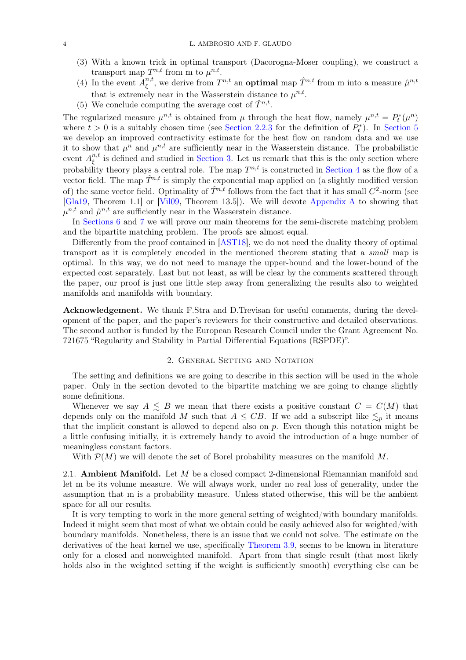- (3) With a known trick in optimal transport (Dacorogna-Moser coupling), we construct a transport map  $T^{n,t}$  from m to  $\mu^{n,t}$ .
- (4) In the event  $A^{n,t}_{\xi}$  $\hat{\mathcal{L}}_{\xi}^{n,t}$ , we derive from  $T^{n,t}$  an **optimal** map  $\hat{T}^{n,t}$  from m into a measure  $\hat{\mu}^{n,t}$ that is extremely near in the Wasserstein distance to  $\mu^{n,t}$ .
- (5) We conclude computing the average cost of  $\hat{T}^{n,t}$ .

The regularized measure  $\mu^{n,t}$  is obtained from  $\mu$  through the heat flow, namely  $\mu^{n,t} = P_t^*(\mu^n)$ where  $t > 0$  is a suitably chosen time (see [Section 2.2.3](#page-5-1) for the definition of  $P_t^*$ ). In [Section 5](#page-12-0) we develop an improved contractivity estimate for the heat flow on random data and we use it to show that  $\mu^n$  and  $\mu^{n,t}$  are sufficiently near in the Wasserstein distance. The probabilistic event  $A^{n,t}_{\epsilon}$  $\frac{n}{\xi}$  is defined and studied in [Section 3.](#page-5-0) Let us remark that this is the only section where probability theory plays a central role. The map  $T^{n,t}$  is constructed in [Section 4](#page-10-0) as the flow of a vector field. The map  $\hat{T}^{n,t}$  is simply the exponential map applied on (a slightly modified version of) the same vector field. Optimality of  $\hat{T}^{n,t}$  follows from the fact that it has small  $C^2$ -norm (see [\[Gla19](#page-23-6), Theorem 1.1] or [\[Vil09,](#page-24-2) Theorem 13.5]). We will devote [Appendix A](#page-17-0) to showing that  $\mu^{n,t}$  and  $\hat{\mu}^{n,t}$  are sufficiently near in the Wasserstein distance.

In [Sections 6](#page-14-0) and [7](#page-16-0) we will prove our main theorems for the semi-discrete matching problem and the bipartite matching problem. The proofs are almost equal.

Differently from the proof contained in  $[AST18]$ , we do not need the duality theory of optimal transport as it is completely encoded in the mentioned theorem stating that a small map is optimal. In this way, we do not need to manage the upper-bound and the lower-bound of the expected cost separately. Last but not least, as will be clear by the comments scattered through the paper, our proof is just one little step away from generalizing the results also to weighted manifolds and manifolds with boundary.

<span id="page-3-0"></span>Acknowledgement. We thank F.Stra and D.Trevisan for useful comments, during the development of the paper, and the paper's reviewers for their constructive and detailed observations. The second author is funded by the European Research Council under the Grant Agreement No. 721675 "Regularity and Stability in Partial Differential Equations (RSPDE)".

## 2. GENERAL SETTING AND NOTATION

<span id="page-3-1"></span>The setting and definitions we are going to describe in this section will be used in the whole paper. Only in the section devoted to the bipartite matching we are going to change slightly some definitions.

Whenever we say  $A \leq B$  we mean that there exists a positive constant  $C = C(M)$  that depends only on the manifold M such that  $A \leq CB$ . If we add a subscript like  $\leq_p$  it means that the implicit constant is allowed to depend also on  $p$ . Even though this notation might be a little confusing initially, it is extremely handy to avoid the introduction of a huge number of meaningless constant factors.

With  $\mathcal{P}(M)$  we will denote the set of Borel probability measures on the manifold M.

<span id="page-3-2"></span>2.1. **Ambient Manifold.** Let M be a closed compact 2-dimensional Riemannian manifold and let m be its volume measure. We will always work, under no real loss of generality, under the assumption that m is a probability measure. Unless stated otherwise, this will be the ambient space for all our results.

It is very tempting to work in the more general setting of weighted/with boundary manifolds. Indeed it might seem that most of what we obtain could be easily achieved also for weighted/with boundary manifolds. Nonetheless, there is an issue that we could not solve. The estimate on the derivatives of the heat kernel we use, specifically [Theorem 3.9,](#page-7-0) seems to be known in literature only for a closed and nonweighted manifold. Apart from that single result (that most likely holds also in the weighted setting if the weight is sufficiently smooth) everything else can be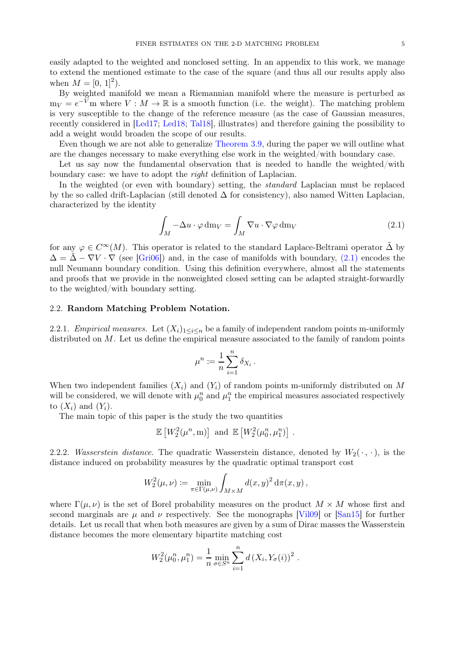easily adapted to the weighted and nonclosed setting. In an appendix to this work, we manage to extend the mentioned estimate to the case of the square (and thus all our results apply also when  $M = [0, 1]^2$ .

By weighted manifold we mean a Riemannian manifold where the measure is perturbed as  $m_V = e^{-V}$ m where  $V : M \to \mathbb{R}$  is a smooth function (i.e. the weight). The matching problem is very susceptible to the change of the reference measure (as the case of Gaussian measures, recently considered in [\[Led17](#page-23-3); [Led18](#page-23-0); [Tal18](#page-24-3)], illustrates) and therefore gaining the possibility to add a weight would broaden the scope of our results.

Even though we are not able to generalize [Theorem 3.9,](#page-7-0) during the paper we will outline what are the changes necessary to make everything else work in the weighted/with boundary case.

Let us say now the fundamental observation that is needed to handle the weighted/with boundary case: we have to adopt the right definition of Laplacian.

In the weighted (or even with boundary) setting, the *standard* Laplacian must be replaced by the so called drift-Laplacian (still denoted  $\Delta$  for consistency), also named Witten Laplacian, characterized by the identity

<span id="page-4-1"></span>
$$
\int_{M} -\Delta u \cdot \varphi \, dm_{V} = \int_{M} \nabla u \cdot \nabla \varphi \, dm_{V}
$$
\n(2.1)

for any  $\varphi \in C^{\infty}(M)$ . This operator is related to the standard Laplace-Beltrami operator  $\tilde{\Delta}$  by  $\Delta = \tilde{\Delta} - \nabla V \cdot \nabla$  (see [\[Gri06](#page-23-7)]) and, in the case of manifolds with boundary, [\(2.1\)](#page-4-1) encodes the null Neumann boundary condition. Using this definition everywhere, almost all the statements and proofs that we provide in the nonweighted closed setting can be adapted straight-forwardly to the weighted/with boundary setting.

### <span id="page-4-0"></span>2.2. Random Matching Problem Notation.

2.2.1. Empirical measures. Let  $(X_i)_{1\leq i\leq n}$  be a family of independent random points m-uniformly distributed on  $M$ . Let us define the empirical measure associated to the family of random points

$$
\mu^n \coloneqq \frac{1}{n} \sum_{i=1}^n \delta_{X_i} \, .
$$

When two independent families  $(X_i)$  and  $(Y_i)$  of random points m-uniformly distributed on M will be considered, we will denote with  $\mu_0^n$  and  $\mu_1^n$  the empirical measures associated respectively to  $(X_i)$  and  $(Y_i)$ .

The main topic of this paper is the study the two quantities

$$
\mathbb{E}\left[W_2^2(\mu^n, m)\right] \text{ and } \mathbb{E}\left[W_2^2(\mu_0^n, \mu_1^n)\right].
$$

2.2.2. Wasserstein distance. The quadratic Wasserstein distance, denoted by  $W_2(\cdot, \cdot)$ , is the distance induced on probability measures by the quadratic optimal transport cost

$$
W_2^2(\mu,\nu) \coloneqq \min_{\pi \in \Gamma(\mu,\nu)} \int_{M \times M} d(x,y)^2 d\pi(x,y),
$$

where  $\Gamma(\mu, \nu)$  is the set of Borel probability measures on the product  $M \times M$  whose first and second marginals are  $\mu$  and  $\nu$  respectively. See the monographs [\[Vil09](#page-24-2)] or [\[San15](#page-23-8)] for further details. Let us recall that when both measures are given by a sum of Dirac masses the Wasserstein distance becomes the more elementary bipartite matching cost

$$
W_2^2(\mu_0^n, \mu_1^n) = \frac{1}{n} \min_{\sigma \in S^n} \sum_{i=1}^n d(X_i, Y_{\sigma}(i))^2.
$$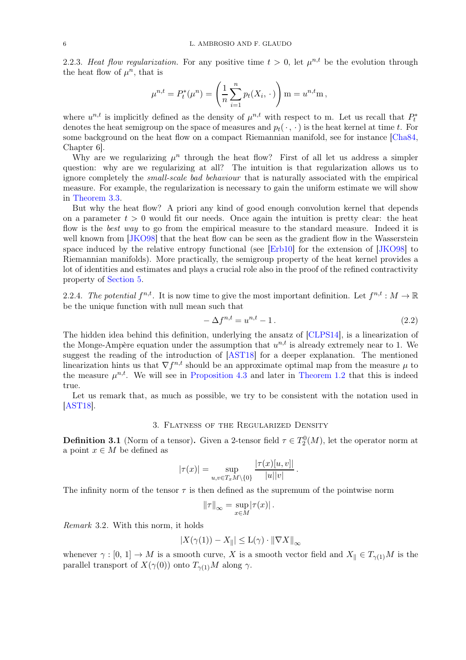<span id="page-5-1"></span>2.2.3. Heat flow regularization. For any positive time  $t > 0$ , let  $\mu^{n,t}$  be the evolution through the heat flow of  $\mu^n$ , that is

$$
\mu^{n,t} = P_t^*(\mu^n) = \left(\frac{1}{n}\sum_{i=1}^n p_t(X_i, \cdot)\right) \mathbf{m} = u^{n,t} \mathbf{m},
$$

where  $u^{n,t}$  is implicitly defined as the density of  $\mu^{n,t}$  with respect to m. Let us recall that  $P_t^*$ denotes the heat semigroup on the space of measures and  $p_t(\cdot, \cdot)$  is the heat kernel at time t. For some background on the heat flow on a compact Riemannian manifold, see for instance [\[Cha84](#page-22-10), Chapter 6].

Why are we regularizing  $\mu^n$  through the heat flow? First of all let us address a simpler question: why are we regularizing at all? The intuition is that regularization allows us to ignore completely the small-scale bad behaviour that is naturally associated with the empirical measure. For example, the regularization is necessary to gain the uniform estimate we will show in [Theorem 3.3.](#page-6-0)

But why the heat flow? A priori any kind of good enough convolution kernel that depends on a parameter  $t > 0$  would fit our needs. Once again the intuition is pretty clear: the heat flow is the *best way* to go from the empirical measure to the standard measure. Indeed it is well known from [\[JKO98](#page-23-9)] that the heat flow can be seen as the gradient flow in the Wasserstein space induced by the relative entropy functional (see [\[Erb10](#page-23-10)] for the extension of [\[JKO98\]](#page-23-9) to Riemannian manifolds). More practically, the semigroup property of the heat kernel provides a lot of identities and estimates and plays a crucial role also in the proof of the refined contractivity property of [Section 5.](#page-12-0)

2.2.4. The potential  $f^{n,t}$ . It is now time to give the most important definition. Let  $f^{n,t}: M \to \mathbb{R}$ be the unique function with null mean such that

<span id="page-5-2"></span>
$$
-\Delta f^{n,t} = u^{n,t} - 1. \tag{2.2}
$$

The hidden idea behind this definition, underlying the ansatz of [\[CLPS14](#page-22-8)], is a linearization of the Monge-Ampère equation under the assumption that  $u^{n,t}$  is already extremely near to 1. We suggest the reading of the introduction of [\[AST18](#page-22-0)] for a deeper explanation. The mentioned linearization hints us that  $\nabla f^{n,t}$  should be an approximate optimal map from the measure  $\mu$  to the measure  $\mu^{n,t}$ . We will see in [Proposition 4.3](#page-11-0) and later in [Theorem 1.2](#page-2-0) that this is indeed true.

<span id="page-5-0"></span>Let us remark that, as much as possible, we try to be consistent with the notation used in [\[AST18](#page-22-0)].

# 3. Flatness of the Regularized Density

<span id="page-5-3"></span>**Definition 3.1** (Norm of a tensor). Given a 2-tensor field  $\tau \in T_2^0(M)$ , let the operator norm at a point  $x \in M$  be defined as

$$
|\tau(x)| = \sup_{u,v \in T_x M \setminus \{0\}} \frac{|\tau(x)[u,v]|}{|u||v|}.
$$

The infinity norm of the tensor  $\tau$  is then defined as the supremum of the pointwise norm

$$
\|\tau\|_{\infty} = \sup_{x \in M} |\tau(x)|.
$$

Remark 3.2. With this norm, it holds

$$
|X(\gamma(1))-X_{||}|\leq \text{L}(\gamma)\cdot\|\nabla X\|_\infty
$$

whenever  $\gamma : [0, 1] \to M$  is a smooth curve, X is a smooth vector field and  $X_{\parallel} \in T_{\gamma(1)}M$  is the parallel transport of  $X(\gamma(0))$  onto  $T_{\gamma(1)}M$  along  $\gamma$ .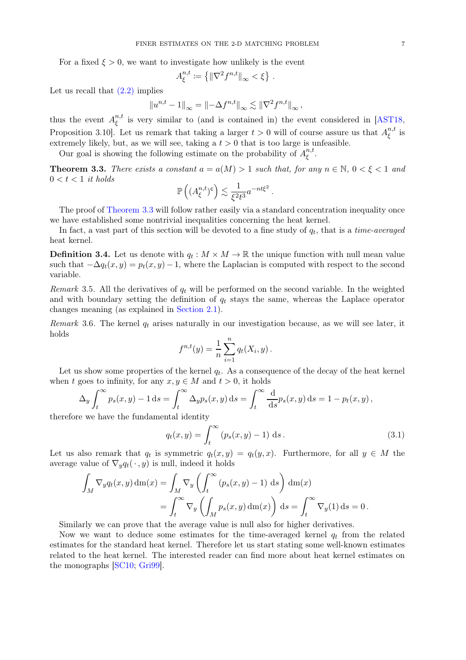For a fixed  $\xi > 0$ , we want to investigate how unlikely is the event

$$
A_{\xi}^{n,t} \coloneqq \left\{ \|\nabla^2 f^{n,t}\|_{\infty} < \xi \right\} \, .
$$

Let us recall that  $(2.2)$  implies

$$
||u^{n,t} - 1||_{\infty} = ||-\Delta f^{n,t}||_{\infty} \lesssim ||\nabla^2 f^{n,t}||_{\infty},
$$

thus the event  $A^{n,t}_{\xi}$  $\mathcal{L}^{n,t}_{\xi}$  is very similar to (and is contained in) the event considered in [\[AST18](#page-22-0), Proposition 3.10. Let us remark that taking a larger  $t > 0$  will of course assure us that  $A^{n,t}_{\epsilon}$  $\int_{\xi}^{n,\iota}$  is extremely likely, but, as we will see, taking a  $t > 0$  that is too large is unfeasible.

<span id="page-6-0"></span>Our goal is showing the following estimate on the probability of  $A^{n,t}_{\epsilon}$ ξ .

**Theorem 3.3.** There exists a constant  $a = a(M) > 1$  such that, for any  $n \in \mathbb{N}$ ,  $0 < \xi < 1$  and  $0 < t < 1$  it holds

$$
\mathbb{P}\left((A_{\xi}^{n,t})^{\mathsf{c}}\right) \lesssim \frac{1}{\xi^2 t^3} a^{-nt\xi^2}.
$$

The proof of [Theorem 3.3](#page-6-0) will follow rather easily via a standard concentration inequality once we have established some nontrivial inequalities concerning the heat kernel.

In fact, a vast part of this section will be devoted to a fine study of  $q_t$ , that is a *time-averaged* heat kernel.

**Definition 3.4.** Let us denote with  $q_t : M \times M \to \mathbb{R}$  the unique function with null mean value such that  $-\Delta q_t(x, y) = p_t(x, y) - 1$ , where the Laplacian is computed with respect to the second variable.

Remark 3.5. All the derivatives of  $q_t$  will be performed on the second variable. In the weighted and with boundary setting the definition of  $q_t$  stays the same, whereas the Laplace operator changes meaning (as explained in [Section 2.1\)](#page-3-2).

Remark 3.6. The kernel  $q_t$  arises naturally in our investigation because, as we will see later, it holds

$$
f^{n,t}(y) = \frac{1}{n} \sum_{i=1}^{n} q_t(X_i, y).
$$

Let us show some properties of the kernel  $q_t$ . As a consequence of the decay of the heat kernel when t goes to infinity, for any  $x, y \in M$  and  $t > 0$ , it holds

$$
\Delta_y \int_t^{\infty} p_s(x, y) - 1 ds = \int_t^{\infty} \Delta_y p_s(x, y) ds = \int_t^{\infty} \frac{d}{ds} p_s(x, y) ds = 1 - p_t(x, y),
$$

therefore we have the fundamental identity

<span id="page-6-1"></span>
$$
q_t(x,y) = \int_t^{\infty} (p_s(x,y) - 1) \, ds. \tag{3.1}
$$

Let us also remark that  $q_t$  is symmetric  $q_t(x, y) = q_t(y, x)$ . Furthermore, for all  $y \in M$  the average value of  $\nabla_{y}q_{t}(\cdot,y)$  is null, indeed it holds

$$
\int_M \nabla_y q_t(x, y) \, dm(x) = \int_M \nabla_y \left( \int_t^\infty (p_s(x, y) - 1) \, ds \right) dm(x)
$$

$$
= \int_t^\infty \nabla_y \left( \int_M p_s(x, y) \, dm(x) \right) ds = \int_t^\infty \nabla_y (1) \, ds = 0.
$$

Similarly we can prove that the average value is null also for higher derivatives.

<span id="page-6-2"></span>Now we want to deduce some estimates for the time-averaged kernel  $q_t$  from the related estimates for the standard heat kernel. Therefore let us start stating some well-known estimates related to the heat kernel. The interested reader can find more about heat kernel estimates on the monographs [\[SC10;](#page-23-11) [Gri99](#page-23-12)].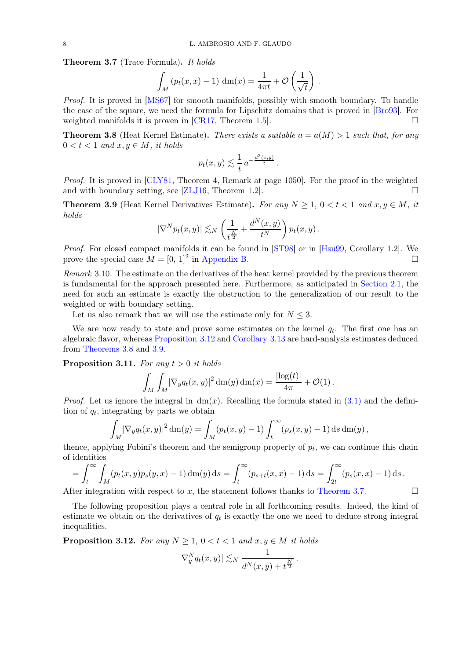Theorem 3.7 (Trace Formula). It holds

$$
\int_M (p_t(x, x) - 1) \, dm(x) = \frac{1}{4\pi t} + \mathcal{O}\left(\frac{1}{\sqrt{t}}\right)
$$

.

Proof. It is proved in [\[MS67\]](#page-23-13) for smooth manifolds, possibly with smooth boundary. To handle the case of the square, we need the formula for Lipschitz domains that is proved in [\[Bro93](#page-22-11)]. For weighted manifolds it is proven in [\[CR17](#page-22-12), Theorem 1.5].

<span id="page-7-2"></span>**Theorem 3.8** (Heat Kernel Estimate). There exists a suitable  $a = a(M) > 1$  such that, for any  $0 < t < 1$  and  $x, y \in M$ , it holds

$$
p_t(x,y) \lesssim \frac{1}{t} a^{-\frac{d^2(x,y)}{t}}.
$$

Proof. It is proved in [\[CLY81,](#page-22-13) Theorem 4, Remark at page 1050]. For the proof in the weighted and with boundary setting, see [\[ZLJ16](#page-24-4), Theorem 1.2].

<span id="page-7-0"></span>**Theorem 3.9** (Heat Kernel Derivatives Estimate). For any  $N \geq 1$ ,  $0 \lt t \lt 1$  and  $x, y \in M$ , it holds

$$
|\nabla^N p_t(x,y)| \lesssim_N \left(\frac{1}{t^{\frac{N}{2}}} + \frac{d^N(x,y)}{t^N}\right) p_t(x,y).
$$

Proof. For closed compact manifolds it can be found in [\[ST98\]](#page-23-14) or in [\[Hsu99,](#page-23-15) Corollary 1.2]. We prove the special case  $M = [0, 1]^2$  in [Appendix B.](#page-20-0)

Remark 3.10. The estimate on the derivatives of the heat kernel provided by the previous theorem is fundamental for the approach presented here. Furthermore, as anticipated in [Section 2.1,](#page-3-2) the need for such an estimate is exactly the obstruction to the generalization of our result to the weighted or with boundary setting.

Let us also remark that we will use the estimate only for  $N \leq 3$ .

We are now ready to state and prove some estimates on the kernel  $q_t$ . The first one has an algebraic flavor, whereas [Proposition 3.12](#page-7-1) and [Corollary 3.13](#page-8-0) are hard-analysis estimates deduced from [Theorems 3.8](#page-7-2) and [3.9.](#page-7-0)

<span id="page-7-3"></span>**Proposition 3.11.** For any  $t > 0$  it holds

$$
\int_M \int_M |\nabla_y q_t(x, y)|^2 \, dm(y) \, dm(x) = \frac{|\log(t)|}{4\pi} + \mathcal{O}(1) \, .
$$

*Proof.* Let us ignore the integral in  $dm(x)$ . Recalling the formula stated in  $(3.1)$  and the definition of  $q_t$ , integrating by parts we obtain

$$
\int_M |\nabla_y q_t(x,y)|^2 \, dm(y) = \int_M (p_t(x,y) - 1) \int_t^\infty (p_s(x,y) - 1) \, ds \, dm(y),
$$

thence, applying Fubini's theorem and the semigroup property of  $p_t$ , we can continue this chain of identities

$$
= \int_{t}^{\infty} \int_{M} (p_t(x, y) p_s(y, x) - 1) dm(y) ds = \int_{t}^{\infty} (p_{s+t}(x, x) - 1) ds = \int_{2t}^{\infty} (p_s(x, x) - 1) ds.
$$

After integration with respect to x, the statement follows thanks to [Theorem 3.7.](#page-6-2)

The following proposition plays a central role in all forthcoming results. Indeed, the kind of estimate we obtain on the derivatives of  $q_t$  is exactly the one we need to deduce strong integral inequalities.

<span id="page-7-1"></span>**Proposition 3.12.** For any  $N \geq 1$ ,  $0 < t < 1$  and  $x, y \in M$  it holds

$$
|\nabla_y^N q_t(x,y)| \lesssim_N \frac{1}{d^N(x,y)+t^{\frac{N}{2}}}.
$$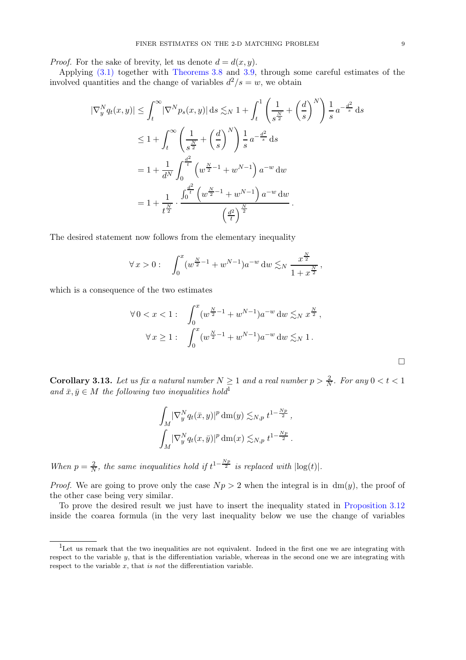*Proof.* For the sake of brevity, let us denote  $d = d(x, y)$ .

Applying [\(3.1\)](#page-6-1) together with [Theorems 3.8](#page-7-2) and [3.9,](#page-7-0) through some careful estimates of the involved quantities and the change of variables  $d^2/s = w$ , we obtain

$$
\begin{split} |\nabla_y^N q_t(x, y)| &\leq \int_t^\infty |\nabla^N p_s(x, y)| \, \mathrm{d}s \lesssim_N 1 + \int_t^1 \left(\frac{1}{s^{\frac{N}{2}}} + \left(\frac{d}{s}\right)^N\right) \frac{1}{s} \, a^{-\frac{d^2}{s}} \, \mathrm{d}s \\ &\leq 1 + \int_t^\infty \left(\frac{1}{s^{\frac{N}{2}}} + \left(\frac{d}{s}\right)^N\right) \frac{1}{s} \, a^{-\frac{d^2}{s}} \, \mathrm{d}s \\ &= 1 + \frac{1}{d^N} \int_0^{\frac{d^2}{t}} \left(w^{\frac{N}{2}-1} + w^{N-1}\right) a^{-w} \, \mathrm{d}w \\ &= 1 + \frac{1}{t^{\frac{N}{2}}} \cdot \frac{\int_0^{\frac{d^2}{t}} \left(w^{\frac{N}{2}-1} + w^{N-1}\right) a^{-w} \, \mathrm{d}w}{\left(\frac{d^2}{t}\right)^{\frac{N}{2}}} \, . \end{split}
$$

The desired statement now follows from the elementary inequality

$$
\forall x > 0: \quad \int_0^x (w^{\frac{N}{2}-1} + w^{N-1}) a^{-w} \, dw \lesssim_N \frac{x^{\frac{N}{2}}}{1 + x^{\frac{N}{2}}},
$$

which is a consequence of the two estimates

$$
\forall 0 < x < 1: \quad \int_0^x (w^{\frac{N}{2}-1} + w^{N-1}) a^{-w} dw \lesssim_N x^{\frac{N}{2}},
$$

$$
\forall x \ge 1: \quad \int_0^x (w^{\frac{N}{2}-1} + w^{N-1}) a^{-w} dw \lesssim_N 1.
$$

<span id="page-8-0"></span>**Corollary 3.13.** Let us fix a natural number  $N \geq 1$  and a real number  $p > \frac{2}{N}$ . For any  $0 < t < 1$ and  $\bar{x}, \bar{y} \in M$  the following two inequalities hold<sup>1</sup>

$$
\int_M |\nabla_y^N q_t(\bar{x}, y)|^p \, dm(y) \lesssim_{N, p} t^{1 - \frac{Np}{2}},
$$
  

$$
\int_M |\nabla_y^N q_t(x, \bar{y})|^p \, dm(x) \lesssim_{N, p} t^{1 - \frac{Np}{2}}.
$$

When  $p=\frac{2}{N}$  $\frac{2}{N}$ , the same inequalities hold if  $t^{1-\frac{Np}{2}}$  is replaced with  $|\log(t)|$ .

*Proof.* We are going to prove only the case  $Np > 2$  when the integral is in dm(y), the proof of the other case being very similar.

To prove the desired result we just have to insert the inequality stated in [Proposition 3.12](#page-7-1) inside the coarea formula (in the very last inequality below we use the change of variables

<sup>&</sup>lt;sup>1</sup>Let us remark that the two inequalities are not equivalent. Indeed in the first one we are integrating with respect to the variable y, that is the differentiation variable, whereas in the second one we are integrating with respect to the variable  $x$ , that is not the differentiation variable.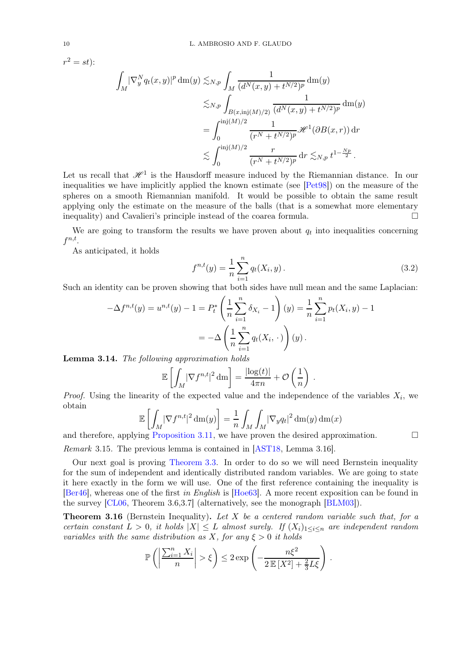$$
r^{2} = st):
$$
\n
$$
\int_{M} |\nabla_{y}^{N} q_{t}(x, y)|^{p} dm(y) \lesssim_{N, p} \int_{M} \frac{1}{(d^{N}(x, y) + t^{N/2})^{p}} dm(y)
$$
\n
$$
\lesssim_{N, p} \int_{B(x, \text{inj}(M)/2)} \frac{1}{(d^{N}(x, y) + t^{N/2})^{p}} dm(y)
$$
\n
$$
= \int_{0}^{\text{inj}(M)/2} \frac{1}{(r^{N} + t^{N/2})^{p}} \mathcal{H}^{1}(\partial B(x, r)) dr
$$
\n
$$
\lesssim \int_{0}^{\text{inj}(M)/2} \frac{r}{(r^{N} + t^{N/2})^{p}} dr \lesssim_{N, p} t^{1 - \frac{Np}{2}}.
$$

Let us recall that  $\mathcal{H}^1$  is the Hausdorff measure induced by the Riemannian distance. In our inequalities we have implicitly applied the known estimate (see [\[Pet98](#page-23-16)]) on the measure of the spheres on a smooth Riemannian manifold. It would be possible to obtain the same result applying only the estimate on the measure of the balls (that is a somewhat more elementary inequality) and Cavalieri's principle instead of the coarea formula.

We are going to transform the results we have proven about  $q_t$  into inequalities concerning  $f^{n,t}$ .

As anticipated, it holds

<span id="page-9-0"></span>
$$
f^{n,t}(y) = \frac{1}{n} \sum_{i=1}^{n} q_t(X_i, y).
$$
 (3.2)

Such an identity can be proven showing that both sides have null mean and the same Laplacian:

$$
-\Delta f^{n,t}(y) = u^{n,t}(y) - 1 = P_t^* \left( \frac{1}{n} \sum_{i=1}^n \delta_{X_i} - 1 \right)(y) = \frac{1}{n} \sum_{i=1}^n p_t(X_i, y) - 1
$$

$$
= -\Delta \left( \frac{1}{n} \sum_{i=1}^n q_t(X_i, \cdot) \right)(y).
$$

<span id="page-9-2"></span>Lemma 3.14. The following approximation holds

$$
\mathbb{E}\left[\int_M |\nabla f^{n,t}|^2 \, \mathrm{d}\mathbf{m}\right] = \frac{|\log(t)|}{4\pi n} + \mathcal{O}\left(\frac{1}{n}\right).
$$

*Proof.* Using the linearity of the expected value and the independence of the variables  $X_i$ , we obtain

$$
\mathbb{E}\left[\int_M |\nabla f^{n,t}|^2 \, \mathrm{dm}(y)\right] = \frac{1}{n} \int_M \int_M |\nabla_y q_t|^2 \, \mathrm{dm}(y) \, \mathrm{dm}(x)
$$

and therefore, applying [Proposition 3.11,](#page-7-3) we have proven the desired approximation.  $\Box$ 

Remark 3.15. The previous lemma is contained in [\[AST18](#page-22-0), Lemma 3.16].

Our next goal is proving [Theorem 3.3.](#page-6-0) In order to do so we will need Bernstein inequality for the sum of independent and identically distributed random variables. We are going to state it here exactly in the form we will use. One of the first reference containing the inequality is [\[Ber46](#page-22-14)], whereas one of the first in English is [\[Hoe63](#page-23-17)]. A more recent exposition can be found in the survey [\[CL06,](#page-22-15) Theorem 3.6,3.7] (alternatively, see the monograph [\[BLM03](#page-22-16)]).

<span id="page-9-1"></span>**Theorem 3.16** (Bernstein Inequality). Let  $X$  be a centered random variable such that, for a certain constant  $L > 0$ , it holds  $|X| \leq L$  almost surely. If  $(X_i)_{1 \leq i \leq n}$  are independent random variables with the same distribution as X, for any  $\xi > 0$  it holds

$$
\mathbb{P}\left(\left|\frac{\sum_{i=1}^{n} X_i}{n}\right| > \xi\right) \leq 2 \exp\left(-\frac{n\xi^2}{2 \mathbb{E}\left[X^2\right] + \frac{2}{3}L\xi}\right).
$$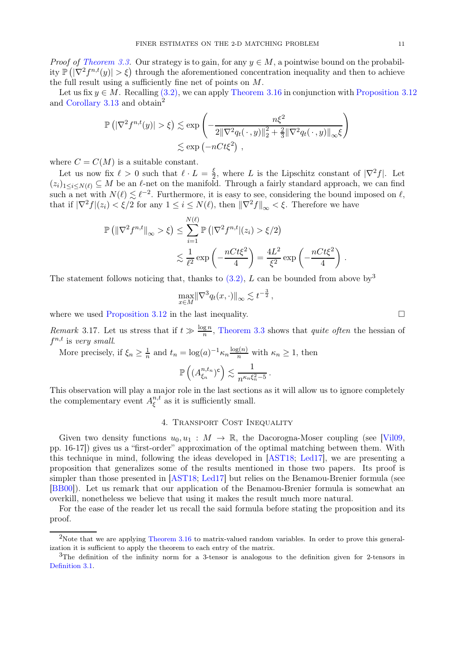*Proof of [Theorem 3.3.](#page-6-0)* Our strategy is to gain, for any  $y \in M$ , a pointwise bound on the probability  $\mathbb{P}(|\nabla^2 f^{n,t}(y)| > \xi)$  through the aforementioned concentration inequality and then to achieve the full result using a sufficiently fine net of points on  $M$ .

Let us fix  $y \in M$ . Recalling [\(3.2\),](#page-9-0) we can apply [Theorem 3.16](#page-9-1) in conjunction with [Proposition 3.12](#page-7-1) and [Corollary 3.13](#page-8-0) and obtain<sup>2</sup>

$$
\mathbb{P}\left(|\nabla^2 f^{n,t}(y)| > \xi\right) \lesssim \exp\left(-\frac{n\xi^2}{2\|\nabla^2 q_t(\,\cdot\,,y)\|_2^2 + \frac{2}{3}\|\nabla^2 q_t(\,\cdot\,,y)\|_\infty\xi}\right)
$$
  

$$
\lesssim \exp\left(-nCt\xi^2\right) ,
$$

where  $C = C(M)$  is a suitable constant.

Let us now fix  $\ell > 0$  such that  $\ell \cdot L = \frac{\xi}{2}$  $\frac{\xi}{2}$ , where L is the Lipschitz constant of  $|\nabla^2 f|$ . Let  $(z_i)_{1\leq i\leq N(\ell)} \subseteq M$  be an  $\ell$ -net on the manifold. Through a fairly standard approach, we can find such a net with  $N(\ell) \lesssim \ell^{-2}$ . Furthermore, it is easy to see, considering the bound imposed on  $\ell$ , that if  $|\nabla^2 f|(z_i) < \xi/2$  for any  $1 \leq i \leq N(\ell)$ , then  $||\nabla^2 f||_{\infty} < \xi$ . Therefore we have

$$
\mathbb{P}\left(\|\nabla^2 f^{n,t}\|_{\infty} > \xi\right) \le \sum_{i=1}^{N(\ell)} \mathbb{P}\left(|\nabla^2 f^{n,t}|(z_i) > \xi/2\right)
$$

$$
\lesssim \frac{1}{\ell^2} \exp\left(-\frac{nCt\xi^2}{4}\right) = \frac{4L^2}{\xi^2} \exp\left(-\frac{nCt\xi^2}{4}\right).
$$

The statement follows noticing that, thanks to  $(3.2)$ , L can be bounded from above by<sup>3</sup>

$$
\max_{x \in M} \|\nabla^3 q_t(x,\cdot)\|_{\infty} \lesssim t^{-\frac{3}{2}},
$$

<span id="page-10-1"></span>where we used [Proposition 3.12](#page-7-1) in the last inequality.  $\Box$ 

*Remark* 3.17. Let us stress that if  $t \gg \frac{\log n}{n}$ , [Theorem 3.3](#page-6-0) shows that *quite often* the hessian of  $f^{n,t}$  is very small.

More precisely, if  $\xi_n \geq \frac{1}{n}$  $\frac{1}{n}$  and  $t_n = \log(a)^{-1} \kappa_n \frac{\log(n)}{n}$  with  $\kappa_n \ge 1$ , then

$$
\mathbb{P}\left((A_{\xi_n}^{n,t_n})^{\texttt{c}}\right) \lesssim \frac{1}{n^{\kappa_n \xi_n^2 - 5}}\,.
$$

This observation will play a major role in the last sections as it will allow us to ignore completely the complementary event  $A^{n,t}_{\xi}$  $\mathbf{z}^{n,t}$  as it is sufficiently small.

### 4. TRANSPORT COST INEQUALITY

<span id="page-10-0"></span>Given two density functions  $u_0, u_1 : M \to \mathbb{R}$ , the Dacorogna-Moser coupling (see [\[Vil09](#page-24-2), pp. 16-17]) gives us a "first-order" approximation of the optimal matching between them. With this technique in mind, following the ideas developed in [\[AST18](#page-22-0); [Led17\]](#page-23-3), we are presenting a proposition that generalizes some of the results mentioned in those two papers. Its proof is simpler than those presented in [\[AST18](#page-22-0); [Led17](#page-23-3)] but relies on the Benamou-Brenier formula (see [\[BB00\]](#page-22-17)). Let us remark that our application of the Benamou-Brenier formula is somewhat an overkill, nonetheless we believe that using it makes the result much more natural.

For the ease of the reader let us recall the said formula before stating the proposition and its proof.

<sup>&</sup>lt;sup>2</sup>Note that we are applying [Theorem 3.16](#page-9-1) to matrix-valued random variables. In order to prove this generalization it is sufficient to apply the theorem to each entry of the matrix.

<sup>&</sup>lt;sup>3</sup>The definition of the infinity norm for a 3-tensor is analogous to the definition given for 2-tensors in [Definition 3.1.](#page-5-3)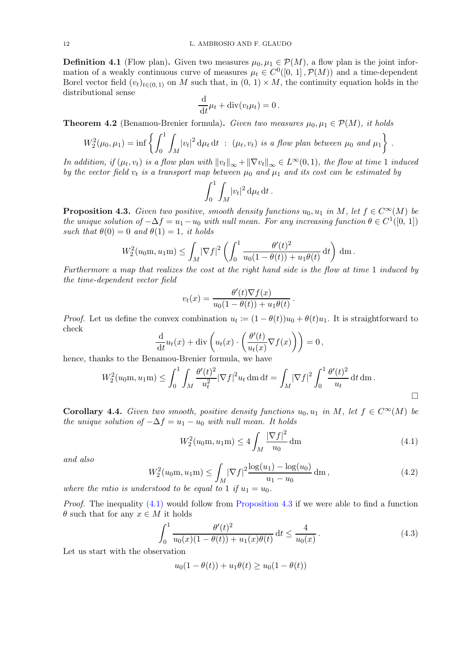**Definition 4.1** (Flow plan). Given two measures  $\mu_0, \mu_1 \in \mathcal{P}(M)$ , a flow plan is the joint information of a weakly continuous curve of measures  $\mu_t \in C^0([0, 1], \mathcal{P}(M))$  and a time-dependent Borel vector field  $(v_t)_{t\in(0, 1)}$  on M such that, in  $(0, 1) \times M$ , the continuity equation holds in the distributional sense

$$
\frac{\mathrm{d}}{\mathrm{d}t}\mu_t + \mathrm{div}(v_t\mu_t) = 0.
$$

**Theorem 4.2** (Benamou-Brenier formula). Given two measures  $\mu_0, \mu_1 \in \mathcal{P}(M)$ , it holds

$$
W_2^2(\mu_0, \mu_1) = \inf \left\{ \int_0^1 \int_M |v_t|^2 \, \mathrm{d}\mu_t \, \mathrm{d}t \; : \; (\mu_t, v_t) \; \text{is a flow plan between } \mu_0 \text{ and } \mu_1 \right\} \; .
$$

In addition, if  $(\mu_t, v_t)$  is a flow plan with  $||v_t||_{\infty} + ||\nabla v_t||_{\infty} \in L^{\infty}(0, 1)$ , the flow at time 1 induced by the vector field  $v_t$  is a transport map between  $\mu_0$  and  $\mu_1$  and its cost can be estimated by

$$
\int_0^1 \int_M |v_t|^2 \, \mathrm{d}\mu_t \, \mathrm{d}t \, .
$$

<span id="page-11-0"></span>**Proposition 4.3.** Given two positive, smooth density functions  $u_0, u_1$  in M, let  $f \in C^{\infty}(M)$  be the unique solution of  $-\Delta f = u_1 - u_0$  with null mean. For any increasing function  $\theta \in C^1([0, 1])$ such that  $\theta(0) = 0$  and  $\theta(1) = 1$ , it holds

$$
W_2^2(u_0m, u_1m) \leq \int_M |\nabla f|^2 \left( \int_0^1 \frac{\theta'(t)^2}{u_0(1-\theta(t)) + u_1\theta(t)} dt \right) dm.
$$

Furthermore a map that realizes the cost at the right hand side is the flow at time 1 induced by the time-dependent vector field

$$
v_t(x) = \frac{\theta'(t)\nabla f(x)}{u_0(1-\theta(t)) + u_1\theta(t)}
$$

*Proof.* Let us define the convex combination  $u_t := (1 - \theta(t))u_0 + \theta(t)u_1$ . It is straightforward to check

$$
\frac{\mathrm{d}}{\mathrm{d}t}u_t(x) + \mathrm{div}\left(u_t(x)\cdot\left(\frac{\theta'(t)}{u_t(x)}\nabla f(x)\right)\right) = 0,
$$
\n<sub>namou Bronic formula, wo have</sub>

hence, thanks to the Benamou-Brenier formula, we have

$$
W_2^2(u_0m, u_1m) \leq \int_0^1 \int_M \frac{\theta'(t)^2}{u_t^2} |\nabla f|^2 u_t \,dm \,dt = \int_M |\nabla f|^2 \int_0^1 \frac{\theta'(t)^2}{u_t} \,dt \,dm.
$$

**Corollary 4.4.** Given two smooth, positive density functions  $u_0, u_1$  in M, let  $f \in C^{\infty}(M)$  be the unique solution of  $-\Delta f = u_1 - u_0$  with null mean. It holds

<span id="page-11-1"></span>
$$
W_2^2(u_0 \mathbf{m}, u_1 \mathbf{m}) \le 4 \int_M \frac{|\nabla f|^2}{u_0} \, \mathrm{dm} \tag{4.1}
$$

 $\Box$ 

.

and also

<span id="page-11-3"></span>
$$
W_2^2(u_0m, u_1m) \le \int_M |\nabla f|^2 \frac{\log(u_1) - \log(u_0)}{u_1 - u_0} \, dm,
$$
\n(4.2)

where the ratio is understood to be equal to 1 if  $u_1 = u_0$ .

*Proof.* The inequality  $(4.1)$  would follow from [Proposition 4.3](#page-11-0) if we were able to find a function  $\theta$  such that for any  $x \in M$  it holds

<span id="page-11-2"></span>
$$
\int_0^1 \frac{\theta'(t)^2}{u_0(x)(1-\theta(t)) + u_1(x)\theta(t)} dt \le \frac{4}{u_0(x)}.
$$
\n(4.3)

Let us start with the observation

$$
u_0(1 - \theta(t)) + u_1\theta(t) \ge u_0(1 - \theta(t))
$$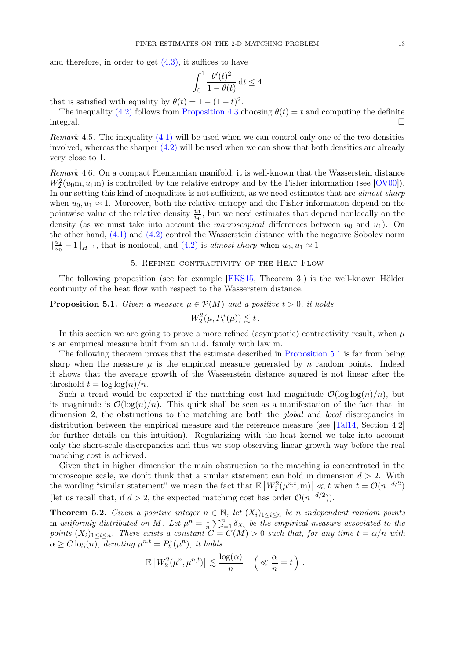and therefore, in order to get  $(4.3)$ , it suffices to have

$$
\int_0^1 \frac{\theta'(t)^2}{1 - \theta(t)} \, \mathrm{d}t \le 4
$$

that is satisfied with equality by  $\theta(t) = 1 - (1 - t)^2$ .

The inequality [\(4.2\)](#page-11-3) follows from [Proposition 4.3](#page-11-0) choosing  $\theta(t) = t$  and computing the definite  $\Box$ 

*Remark* 4.5. The inequality  $(4.1)$  will be used when we can control only one of the two densities involved, whereas the sharper [\(4.2\)](#page-11-3) will be used when we can show that both densities are already very close to 1.

Remark 4.6. On a compact Riemannian manifold, it is well-known that the Wasserstein distance  $W_2^2(u_0, u_1, u_1)$  is controlled by the relative entropy and by the Fisher information (see [\[OV00\]](#page-23-18)). In our setting this kind of inequalities is not sufficient, as we need estimates that are almost-sharp when  $u_0, u_1 \approx 1$ . Moreover, both the relative entropy and the Fisher information depend on the pointwise value of the relative density  $\frac{u_1}{u_0}$ , but we need estimates that depend nonlocally on the density (as we must take into account the *macroscopical* differences between  $u_0$  and  $u_1$ ). On the other hand,  $(4.1)$  and  $(4.2)$  control the Wasserstein distance with the negative Sobolev norm  $\|\frac{u_1}{u_0}$  $\frac{u_1}{u_0} - 1 \|_{H^{-1}}$ , that is nonlocal, and  $(4.2)$  is almost-sharp when  $u_0, u_1 \approx 1$ .

## 5. Refined contractivity of the Heat Flow

<span id="page-12-1"></span><span id="page-12-0"></span>The following proposition (see for example  $[EKS15, Theorem 3]$ ) is the well-known Hölder continuity of the heat flow with respect to the Wasserstein distance.

# **Proposition 5.1.** Given a measure  $\mu \in \mathcal{P}(M)$  and a positive  $t > 0$ , it holds  $W_2^2(\mu, P_t^*(\mu)) \lesssim t.$

In this section we are going to prove a more refined (asymptotic) contractivity result, when 
$$
\mu
$$
 is an empirical measure built from an i.i.d. family with law m.

The following theorem proves that the estimate described in [Proposition 5.1](#page-12-1) is far from being sharp when the measure  $\mu$  is the empirical measure generated by n random points. Indeed it shows that the average growth of the Wasserstein distance squared is not linear after the threshold  $t = \log \log(n)/n$ .

Such a trend would be expected if the matching cost had magnitude  $\mathcal{O}(\log \log(n)/n)$ , but its magnitude is  $\mathcal{O}(\log(n)/n)$ . This quirk shall be seen as a manifestation of the fact that, in dimension 2, the obstructions to the matching are both the *global* and *local* discrepancies in distribution between the empirical measure and the reference measure (see [\[Tal14,](#page-23-1) Section 4.2] for further details on this intuition). Regularizing with the heat kernel we take into account only the short-scale discrepancies and thus we stop observing linear growth way before the real matching cost is achieved.

Given that in higher dimension the main obstruction to the matching is concentrated in the microscopic scale, we don't think that a similar statement can hold in dimension  $d > 2$ . With the wording "similar statement" we mean the fact that  $\mathbb{E}\left[W_2^2(\mu^{n,t},m)\right] \ll t$  when  $t = \mathcal{O}(n^{-d/2})$ (let us recall that, if  $d > 2$ , the expected matching cost has order  $\mathcal{O}(n^{-d/2})$ ).

<span id="page-12-2"></span>**Theorem 5.2.** Given a positive integer  $n \in \mathbb{N}$ , let  $(X_i)_{1 \leq i \leq n}$  be n independent random points m-uniformly distributed on M. Let  $\mu^n = \frac{1}{n}$  $\frac{1}{n}\sum_{i=1}^{n}\delta_{X_{i}}$  be the empirical measure associated to the points  $(X_i)_{1\leq i\leq n}$ . There exists a constant  $C=C(M)>0$  such that, for any time  $t=\alpha/n$  with  $\alpha \ge C \log(n)$ , denoting  $\mu^{n,t} = P_t^*(\mu^n)$ , it holds

$$
\mathbb{E}\left[W_2^2(\mu^n, \mu^{n,t})\right] \lesssim \frac{\log(\alpha)}{n} \quad \left(\ll \frac{\alpha}{n} = t\right).
$$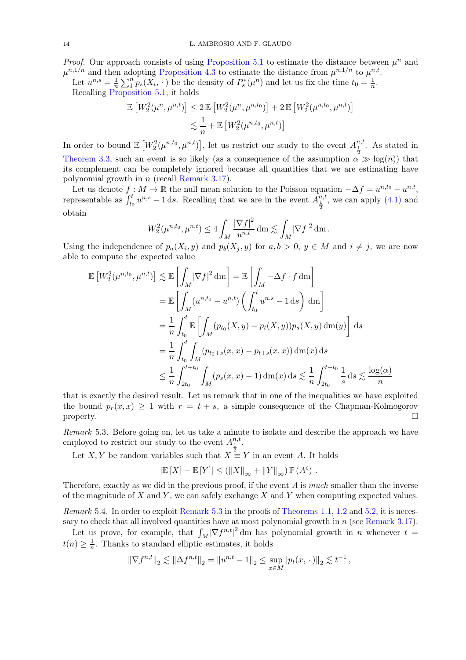*Proof.* Our approach consists of using [Proposition 5.1](#page-12-1) to estimate the distance between  $\mu^n$  and  $\mu^{n,1/n}$  and then adopting [Proposition 4.3](#page-11-0) to estimate the distance from  $\mu^{n,1/n}$  to  $\mu^{n,t}$ .

Let  $u^{n,s} = \frac{1}{n} \sum_{i=1}^{n} p_s(X_i, \cdot)$  be the density of  $P_s^*(\mu^n)$  and let us fix the time  $t_0 = \frac{1}{n}$ . Recalling [Proposition 5.1,](#page-12-1) it holds

$$
\mathbb{E}\left[W_2^2(\mu^n, \mu^{n,t})\right] \le 2 \mathbb{E}\left[W_2^2(\mu^n, \mu^{n,t_0})\right] + 2 \mathbb{E}\left[W_2^2(\mu^{n,t_0}, \mu^{n,t})\right] \\
\lesssim \frac{1}{n} + \mathbb{E}\left[W_2^2(\mu^{n,t_0}, \mu^{n,t})\right]
$$

In order to bound  $\mathbb{E}\left[W_2^2(\mu^{n,t_0},\mu^{n,t})\right]$ , let us restrict our study to the event  $A_{\frac{1}{2}}^{n,t}$ . As stated in [Theorem 3.3,](#page-6-0) such an event is so likely (as a consequence of the assumption  $\alpha \gg \log(n)$ ) that its complement can be completely ignored because all quantities that we are estimating have polynomial growth in n (recall [Remark 3.17\)](#page-10-1).

Let us denote  $f: M \to \mathbb{R}$  the null mean solution to the Poisson equation  $-\Delta f = u^{n,t_0} - u^{n,t}$ , representable as  $\int_{t_0}^t u^{n,s} - 1 ds$ . Recalling that we are in the event  $A_{\frac{1}{2}}^{n,t}$ , we can apply [\(4.1\)](#page-11-1) and obtain

$$
W_2^2(\mu^{n,t_0}, \mu^{n,t}) \le 4 \int_M \frac{|\nabla f|^2}{u^{n,t}} \, \mathrm{d} \mathbf{m} \lesssim \int_M |\nabla f|^2 \, \mathrm{d} \mathbf{m} \, .
$$

Using the independence of  $p_a(X_i, y)$  and  $p_b(X_j, y)$  for  $a, b > 0, y \in M$  and  $i \neq j$ , we are now able to compute the expected value

$$
\mathbb{E}\left[W_2^2(\mu^{n,t_0}, \mu^{n,t})\right] \lesssim \mathbb{E}\left[\int_M |\nabla f|^2 \, \mathrm{d}\mathbf{m}\right] = \mathbb{E}\left[\int_M -\Delta f \cdot f \, \mathrm{d}\mathbf{m}\right]
$$
  
\n
$$
= \mathbb{E}\left[\int_M (u^{n,t_0} - u^{n,t}) \left(\int_{t_0}^t u^{n,s} - 1 \, \mathrm{d}s\right) \, \mathrm{d}\mathbf{m}\right]
$$
  
\n
$$
= \frac{1}{n} \int_{t_0}^t \mathbb{E}\left[\int_M (p_{t_0}(X, y) - p_t(X, y)) p_s(X, y) \, \mathrm{d}\mathbf{m}(y)\right] \, \mathrm{d}s
$$
  
\n
$$
= \frac{1}{n} \int_{t_0}^t \int_M (p_{t_0+s}(x, x) - p_{t+s}(x, x)) \, \mathrm{d}\mathbf{m}(x) \, \mathrm{d}s
$$
  
\n
$$
\leq \frac{1}{n} \int_{2t_0}^{t+t_0} \int_M (p_s(x, x) - 1) \, \mathrm{d}\mathbf{m}(x) \, \mathrm{d}s \lesssim \frac{1}{n} \int_{2t_0}^{t+t_0} \frac{1}{s} \, \mathrm{d}s \lesssim \frac{\log(\alpha)}{n}
$$

that is exactly the desired result. Let us remark that in one of the inequalities we have exploited the bound  $p_r(x, x) \ge 1$  with  $r = t + s$ , a simple consequence of the Chapman-Kolmogorov property. property.  $\Box$ 

<span id="page-13-0"></span>Remark 5.3. Before going on, let us take a minute to isolate and describe the approach we have employed to restrict our study to the event  $A_1^{n,t}$ .

Let X, Y be random variables such that  $X \stackrel{2}{\equiv} Y$  in an event A. It holds

$$
|\mathbb{E}[X] - \mathbb{E}[Y]| \le (||X||_{\infty} + ||Y||_{\infty}) \mathbb{P}(A^{c}).
$$

Therefore, exactly as we did in the previous proof, if the event  $A$  is much smaller than the inverse of the magnitude of  $X$  and  $Y$ , we can safely exchange  $X$  and  $Y$  when computing expected values.

Remark 5.4. In order to exploit [Remark 5.3](#page-13-0) in the proofs of [Theorems 1.1,](#page-2-1) [1.2](#page-2-0) and [5.2,](#page-12-2) it is necessary to check that all involved quantities have at most polynomial growth in  $n$  (see [Remark 3.17\)](#page-10-1).

Let us prove, for example, that  $\int_M |\nabla f^{n,t}|^2 dm$  has polynomial growth in n whenever  $t =$  $t(n) \geq \frac{1}{n}$  $\frac{1}{n}$ . Thanks to standard elliptic estimates, it holds

$$
\|\nabla f^{n,t}\|_2 \lesssim \|\Delta f^{n,t}\|_2 = \|u^{n,t} - 1\|_2 \le \sup_{x \in M} \|p_t(x, \cdot)\|_2 \lesssim t^{-1},
$$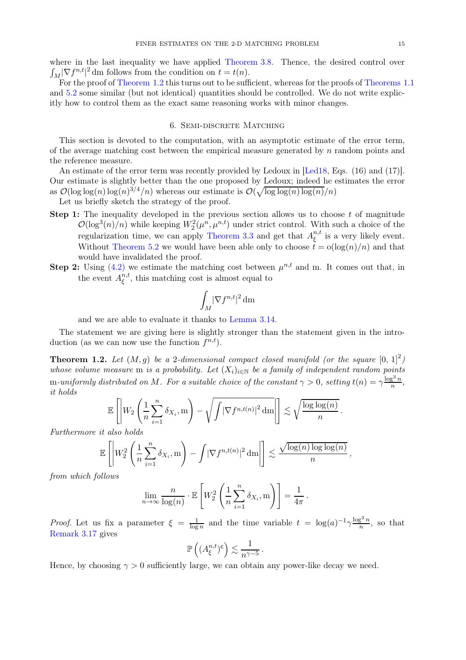where in the last inequality we have applied [Theorem 3.8.](#page-7-2) Thence, the desired control over  $\int_M |\nabla f^{n,t}|^2 dm$  follows from the condition on  $t = t(n)$ .

For the proof of [Theorem 1.2](#page-2-0) this turns out to be sufficient, whereas for the proofs of [Theorems 1.1](#page-2-1) and [5.2](#page-12-2) some similar (but not identical) quantities should be controlled. We do not write explicitly how to control them as the exact same reasoning works with minor changes.

### 6. Semi-discrete Matching

<span id="page-14-0"></span>This section is devoted to the computation, with an asymptotic estimate of the error term, of the average matching cost between the empirical measure generated by  $n$  random points and the reference measure.

An estimate of the error term was recently provided by Ledoux in [\[Led18](#page-23-0), Eqs. (16) and (17)]. Our estimate is slightly better than the one proposed by Ledoux; indeed he estimates the error as  $\mathcal{O}(\log \log(n) \log(n)^{3/4}/n)$  whereas our estimate is  $\mathcal{O}(\sqrt{\log \log(n) \log(n)}/n)$ 

Let us briefly sketch the strategy of the proof.

- **Step 1:** The inequality developed in the previous section allows us to choose  $t$  of magnitude  $\mathcal{O}(\log^3(n)/n)$  while keeping  $W_2^2(\mu^n, \mu^{n,t})$  under strict control. With such a choice of the regularization time, we can apply [Theorem 3.3](#page-6-0) and get that  $A^{n,t}_{\epsilon}$  $\mathcal{L}_{\xi}^{n,t}$  is a very likely event. Without [Theorem 5.2](#page-12-2) we would have been able only to choose  $t = o(\log(n)/n)$  and that would have invalidated the proof.
- **Step 2:** Using  $(4.2)$  we estimate the matching cost between  $\mu^{n,t}$  and m. It comes out that, in the event  $A^{n,t}_{\xi}$  $\mathbf{z}_{\xi}^{n,t}$ , this matching cost is almost equal to

$$
\int_M |\nabla f^{n,t}|^2 \,\mathrm{d} \mathbf{m}
$$

and we are able to evaluate it thanks to [Lemma 3.14.](#page-9-2)

The statement we are giving here is slightly stronger than the statement given in the introduction (as we can now use the function  $f^{n,t}$ ).

**Theorem 1.2.** Let  $(M, g)$  be a 2-dimensional compact closed manifold (or the square  $[0, 1]^2$ ) whose volume measure m is a probability. Let  $(X_i)_{i\in\mathbb{N}}$  be a family of independent random points m-uniformly distributed on M. For a suitable choice of the constant  $\gamma > 0$ , setting  $t(n) = \gamma \frac{\log^3 n}{n}$  $\frac{\sum n}{n}$ , it holds

$$
\mathbb{E}\left[\left|W_2\left(\frac{1}{n}\sum_{i=1}^n \delta_{X_i}, m\right) - \sqrt{\int |\nabla f^{n,t(n)}|^2 \,dm}\right|\right] \lesssim \sqrt{\frac{\log\log(n)}{n}}
$$

.

Furthermore it also holds

$$
\mathbb{E}\left[\left|W_2^2\left(\frac{1}{n}\sum_{i=1}^n \delta_{X_i}, m\right) - \int |\nabla f^{n,t(n)}|^2 \,dm\right|\right] \lesssim \frac{\sqrt{\log(n)\log\log(n)}}{n},
$$

from which follows

$$
\lim_{n \to \infty} \frac{n}{\log(n)} \cdot \mathbb{E}\left[W_2^2\left(\frac{1}{n}\sum_{i=1}^n \delta_{X_i}, m\right)\right] = \frac{1}{4\pi}.
$$

*Proof.* Let us fix a parameter  $\xi = \frac{1}{\log n}$  $\frac{1}{\log n}$  and the time variable  $t = \log(a)^{-1} \gamma \frac{\log^3 n}{n}$  $\frac{n^2}{n}$ , so that [Remark 3.17](#page-10-1) gives

$$
\mathbb{P}\left((A_{\xi}^{n,t})^{\mathsf{c}}\right) \lesssim \frac{1}{n^{\gamma-5}}\,.
$$

Hence, by choosing  $\gamma > 0$  sufficiently large, we can obtain any power-like decay we need.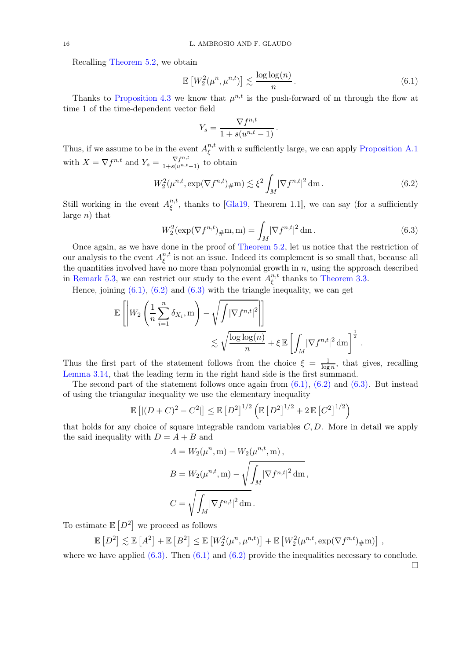Recalling [Theorem 5.2,](#page-12-2) we obtain

<span id="page-15-0"></span>
$$
\mathbb{E}\left[W_2^2(\mu^n, \mu^{n,t})\right] \lesssim \frac{\log \log(n)}{n} \,. \tag{6.1}
$$

Thanks to [Proposition 4.3](#page-11-0) we know that  $\mu^{n,t}$  is the push-forward of m through the flow at time 1 of the time-dependent vector field

$$
Y_s = \frac{\nabla f^{n,t}}{1 + s(u^{n,t} - 1)}.
$$

Thus, if we assume to be in the event  $A_{\xi}^{n,t}$  with n sufficiently large, we can apply [Proposition A.1](#page-17-1) with  $X = \nabla f^{n,t}$  and  $Y_s = \frac{\nabla f^{n,t}}{1 + s(u^{n,t}-1)}$  to obtain

<span id="page-15-1"></span>
$$
W_2^2(\mu^{n,t}, \exp(\nabla f^{n,t})_{\#} \mathbf{m}) \lesssim \xi^2 \int_M |\nabla f^{n,t}|^2 d\mathbf{m} \,. \tag{6.2}
$$

Still working in the event  $A^{n,t}_{\xi}$  $\zeta^{n,\iota}$ , thanks to [\[Gla19](#page-23-6), Theorem 1.1], we can say (for a sufficiently large  $n)$  that

<span id="page-15-2"></span>
$$
W_2^2(\exp(\nabla f^{n,t})_{\#} \mathbf{m}, \mathbf{m}) = \int_M |\nabla f^{n,t}|^2 d\mathbf{m}.
$$
\n(6.3)

.

Once again, as we have done in the proof of [Theorem 5.2,](#page-12-2) let us notice that the restriction of our analysis to the event  $A^{n,t}_{\xi}$  $\mathcal{L}^{n,t}_{\xi}$  is not an issue. Indeed its complement is so small that, because all the quantities involved have no more than polynomial growth in  $n$ , using the approach described in [Remark 5.3,](#page-13-0) we can restrict our study to the event  $A^{n,t}_{\xi}$  $\mathcal{L}_{\xi}^{n,t}$  thanks to [Theorem 3.3.](#page-6-0)

Hence, joining  $(6.1)$ ,  $(6.2)$  and  $(6.3)$  with the triangle inequality, we can get

$$
\mathbb{E}\left[\left|W_2\left(\frac{1}{n}\sum_{i=1}^n \delta_{X_i}, m\right) - \sqrt{\int |\nabla f^{n,t}|^2} \right|\right] \leq \sqrt{\frac{\log\log(n)}{n}} + \xi \mathbb{E}\left[\int_M |\nabla f^{n,t}|^2 dm\right]^{\frac{1}{2}}
$$

Thus the first part of the statement follows from the choice  $\xi = \frac{1}{\log n}$  $\frac{1}{\log n}$ , that gives, recalling [Lemma 3.14,](#page-9-2) that the leading term in the right hand side is the first summand.

The second part of the statement follows once again from  $(6.1)$ ,  $(6.2)$  and  $(6.3)$ . But instead of using the triangular inequality we use the elementary inequality

$$
\mathbb{E}\left[|(D+C)^2 - C^2|\right] \le \mathbb{E}\left[D^2\right]^{1/2} \left(\mathbb{E}\left[D^2\right]^{1/2} + 2\mathbb{E}\left[C^2\right]^{1/2}\right)
$$

that holds for any choice of square integrable random variables  $C, D$ . More in detail we apply the said inequality with  $D = A + B$  and

$$
A = W_2(\mu^n, \mathbf{m}) - W_2(\mu^{n,t}, \mathbf{m}),
$$
  
\n
$$
B = W_2(\mu^{n,t}, \mathbf{m}) - \sqrt{\int_M |\nabla f^{n,t}|^2 \, \mathrm{dm}},
$$
  
\n
$$
C = \sqrt{\int_M |\nabla f^{n,t}|^2 \, \mathrm{dm}}.
$$

To estimate  $\mathbb{E}[D^2]$  we proceed as follows

 $\mathbb{E}[D^2] \lesssim \mathbb{E}[A^2] + \mathbb{E}[B^2] \leq \mathbb{E}[W_2^2(\mu^n, \mu^{n,t})] + \mathbb{E}[W_2^2(\mu^{n,t}, \exp(\nabla f^{n,t})_{\#}m)]$ 

where we have applied  $(6.3)$ . Then  $(6.1)$  and  $(6.2)$  provide the inequalities necessary to conclude.

 $\Box$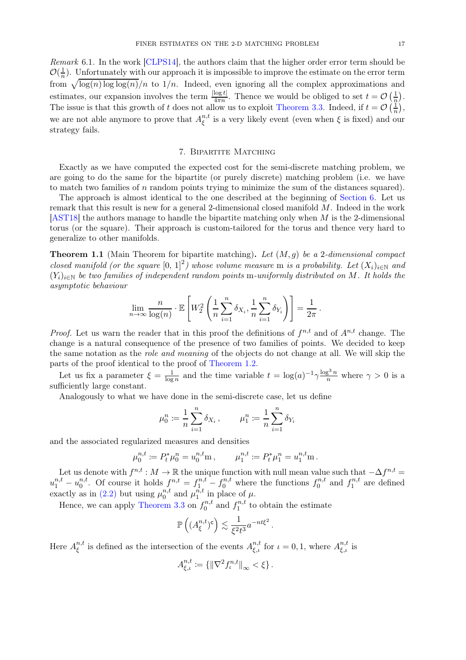Remark 6.1. In the work [\[CLPS14\]](#page-22-8), the authors claim that the higher order error term should be  $\mathcal{O}(\frac{1}{n}$  $\frac{1}{n}$ ). Unfortunately with our approach it is impossible to improve the estimate on the error term from  $\sqrt{\log(n) \log \log(n)} / n$  to  $1/n$ . Indeed, even ignoring all the complex approximations and estimates, our expansion involves the term  $\frac{|\log t|}{4\pi n}$ . Thence we would be obliged to set  $t = \mathcal{O}\left(\frac{1}{n}\right)$  $\frac{1}{n}$ . The issue is that this growth of t does not allow us to exploit [Theorem 3.3.](#page-6-0) Indeed, if  $t = \mathcal{O}\left(\frac{1}{n}\right)$  $\frac{1}{n}$ , we are not able anymore to prove that  $A^{n,t}_{\xi}$  $\mathcal{L}_{\xi}^{n,\iota}$  is a very likely event (even when  $\xi$  is fixed) and our strategy fails.

### 7. Bipartite Matching

<span id="page-16-0"></span>Exactly as we have computed the expected cost for the semi-discrete matching problem, we are going to do the same for the bipartite (or purely discrete) matching problem (i.e. we have to match two families of n random points trying to minimize the sum of the distances squared).

The approach is almost identical to the one described at the beginning of [Section 6.](#page-14-0) Let us remark that this result is new for a general 2-dimensional closed manifold M. Indeed in the work [\[AST18](#page-22-0)] the authors manage to handle the bipartite matching only when M is the 2-dimensional torus (or the square). Their approach is custom-tailored for the torus and thence very hard to generalize to other manifolds.

**Theorem 1.1** (Main Theorem for bipartite matching). Let  $(M, g)$  be a 2-dimensional compact closed manifold (or the square  $[0, 1]^2$ ) whose volume measure m is a probability. Let  $(X_i)_{i \in \mathbb{N}}$  and  $(Y_i)_{i\in\mathbb{N}}$  be two families of independent random points m-uniformly distributed on M. It holds the asymptotic behaviour

$$
\lim_{n \to \infty} \frac{n}{\log(n)} \cdot \mathbb{E}\left[W_2^2 \left(\frac{1}{n} \sum_{i=1}^n \delta_{X_i}, \frac{1}{n} \sum_{i=1}^n \delta_{Y_i}\right)\right] = \frac{1}{2\pi}.
$$

*Proof.* Let us warn the reader that in this proof the definitions of  $f^{n,t}$  and of  $A^{n,t}$  change. The change is a natural consequence of the presence of two families of points. We decided to keep the same notation as the *role and meaning* of the objects do not change at all. We will skip the parts of the proof identical to the proof of [Theorem 1.2.](#page-2-0)

Let us fix a parameter  $\xi = \frac{1}{\log n}$  $\frac{1}{\log n}$  and the time variable  $t = \log(a)^{-1} \gamma \frac{\log^3 n}{n}$  where  $\gamma > 0$  is a sufficiently large constant.

Analogously to what we have done in the semi-discrete case, let us define

$$
\mu_0^n := \frac{1}{n} \sum_{i=1}^n \delta_{X_i}, \qquad \mu_1^n := \frac{1}{n} \sum_{i=1}^n \delta_{Y_i}
$$

and the associated regularized measures and densities

$$
\mu_0^{n,t} := P_t^* \mu_0^n = u_0^{n,t} \mathbf{m}, \qquad \mu_1^{n,t} := P_t^* \mu_1^n = u_1^{n,t} \mathbf{m}.
$$

Let us denote with  $f^{n,t} : M \to \mathbb{R}$  the unique function with null mean value such that  $-\Delta f^{n,t} =$  $u_1^{n,t} - u_0^{n,t}$ <sup>n,t</sup>. Of course it holds  $f^{n,t} = f^{n,t}_{1} - f^{n,t}_0$  where the functions  $f^{n,t}_0$  $f_0^{n,t}$  and  $f_1^{n,t}$  $i_1^{n,\iota}$  are defined exactly as in [\(2.2\)](#page-5-2) but using  $\mu_0^{n,t}$  $n_t^{n,t}$  and  $\mu_1^{n,t}$  $\int_1^{n,\iota}$  in place of  $\mu$ .

Hence, we can apply [Theorem 3.3](#page-6-0) on  $f_0^{n,t}$  $t_0^{n,t}$  and  $f_1^{n,t}$  $t_1^{n,t}$  to obtain the estimate

$$
\mathbb{P}\left((A_{\xi}^{n,t})^{\mathsf{c}}\right) \lesssim \frac{1}{\xi^2 t^3} a^{-nt\xi^2}.
$$

Here  $A^{n,t}_{\epsilon}$  $a^{n,t}_{\xi}$  is defined as the intersection of the events  $A^{n,t}_{\xi,\iota}$  for  $\iota = 0,1$ , where  $A^{n,t}_{\xi,\iota}$  is

$$
A_{\xi,\iota}^{n,t} := \{ \| \nabla^2 f_{\iota}^{n,t} \|_{\infty} < \xi \} \, .
$$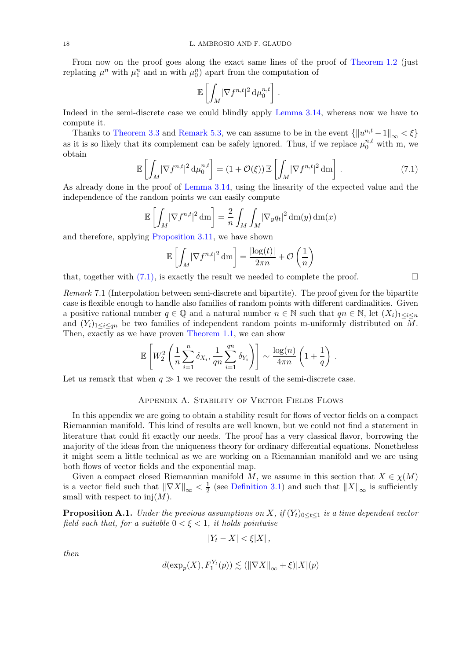From now on the proof goes along the exact same lines of the proof of [Theorem 1.2](#page-2-0) (just replacing  $\mu^n$  with  $\mu_1^n$  and m with  $\mu_0^n$ ) apart from the computation of

$$
\mathbb{E}\left[\int_M|\nabla f^{n,t}|^2\,\mathrm{d}\mu_0^{n,t}\right].
$$

Indeed in the semi-discrete case we could blindly apply [Lemma 3.14,](#page-9-2) whereas now we have to compute it.

Thanks to [Theorem 3.3](#page-6-0) and [Remark 5.3,](#page-13-0) we can assume to be in the event  $\{\|u^{n,t}_{\cdot\cdot}\|_{\infty} < \xi\}$ as it is so likely that its complement can be safely ignored. Thus, if we replace  $\mu_0^{n,t}$  with m, we obtain

<span id="page-17-2"></span>
$$
\mathbb{E}\left[\int_{M}|\nabla f^{n,t}|^2 d\mu_0^{n,t}\right] = (1+\mathcal{O}(\xi))\,\mathbb{E}\left[\int_{M}|\nabla f^{n,t}|^2 d\mathbf{m}\right].\tag{7.1}
$$

As already done in the proof of [Lemma 3.14,](#page-9-2) using the linearity of the expected value and the independence of the random points we can easily compute

$$
\mathbb{E}\left[\int_M |\nabla f^{n,t}|^2 \,\mathrm{dm}\right] = \frac{2}{n} \int_M \int_M |\nabla_y q_t|^2 \,\mathrm{dm}(y) \,\mathrm{dm}(x)
$$

and therefore, applying [Proposition 3.11,](#page-7-3) we have shown

$$
\mathbb{E}\left[\int_M |\nabla f^{n,t}|^2 \, \mathrm{d}\mathbf{m}\right] = \frac{|\log(t)|}{2\pi n} + \mathcal{O}\left(\frac{1}{n}\right)
$$

that, together with  $(7.1)$ , is exactly the result we needed to complete the proof.

Remark 7.1 (Interpolation between semi-discrete and bipartite). The proof given for the bipartite case is flexible enough to handle also families of random points with different cardinalities. Given a positive rational number  $q \in \mathbb{Q}$  and a natural number  $n \in \mathbb{N}$  such that  $qn \in \mathbb{N}$ , let  $(X_i)_{1 \leq i \leq n}$ and  $(Y_i)_{1\leq i\leq qn}$  be two families of independent random points m-uniformly distributed on M. Then, exactly as we have proven [Theorem 1.1,](#page-2-1) we can show

$$
\mathbb{E}\left[W_2^2\left(\frac{1}{n}\sum_{i=1}^n \delta_{X_i}, \frac{1}{qn}\sum_{i=1}^{qn} \delta_{Y_i}\right)\right] \sim \frac{\log(n)}{4\pi n} \left(1 + \frac{1}{q}\right).
$$

<span id="page-17-0"></span>Let us remark that when  $q \gg 1$  we recover the result of the semi-discrete case.

### Appendix A. Stability of Vector Fields Flows

In this appendix we are going to obtain a stability result for flows of vector fields on a compact Riemannian manifold. This kind of results are well known, but we could not find a statement in literature that could fit exactly our needs. The proof has a very classical flavor, borrowing the majority of the ideas from the uniqueness theory for ordinary differential equations. Nonetheless it might seem a little technical as we are working on a Riemannian manifold and we are using both flows of vector fields and the exponential map.

Given a compact closed Riemannian manifold M, we assume in this section that  $X \in \chi(M)$ is a vector field such that  $\|\nabla X\|_{\infty} < \frac{1}{2}$  (see [Definition 3.1\)](#page-5-3) and such that  $\|X\|_{\infty}$  is sufficiently small with respect to  $inj(M)$ .

<span id="page-17-1"></span>**Proposition A.1.** Under the previous assumptions on X, if  $(Y_t)_{0 \leq t \leq 1}$  is a time dependent vector field such that, for a suitable  $0 < \xi < 1$ , it holds pointwise

$$
|Y_t - X| < \xi |X| \,,
$$

then

$$
d(\exp_p(X), F_1^{Y_t}(p)) \lesssim (\|\nabla X\|_{\infty} + \xi)|X|(p)
$$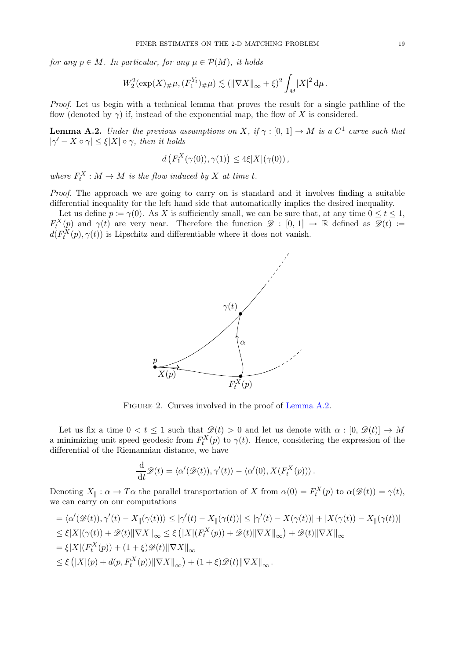for any  $p \in M$ . In particular, for any  $\mu \in \mathcal{P}(M)$ , it holds

$$
W_2^2(\exp(X)_{\#}\mu, (F_1^{Y_t})_{\#}\mu) \lesssim (\|\nabla X\|_{\infty} + \xi)^2 \int_M |X|^2 d\mu.
$$

<span id="page-18-0"></span>Proof. Let us begin with a technical lemma that proves the result for a single pathline of the flow (denoted by  $\gamma$ ) if, instead of the exponential map, the flow of X is considered.

**Lemma A.2.** Under the previous assumptions on X, if  $\gamma : [0, 1] \to M$  is a  $C^1$  curve such that  $|\gamma' - X \circ \gamma| \leq \xi |X| \circ \gamma$ , then it holds

$$
d\left(F_1^X(\gamma(0)), \gamma(1)\right) \leq 4\xi |X|(\gamma(0)),
$$

where  $F_t^X : M \to M$  is the flow induced by X at time t.

Proof. The approach we are going to carry on is standard and it involves finding a suitable differential inequality for the left hand side that automatically implies the desired inequality.

Let us define  $p \coloneqq \gamma(0)$ . As X is sufficiently small, we can be sure that, at any time  $0 \le t \le 1$ ,  $F_t^X(p)$  and  $\gamma(t)$  are very near. Therefore the function  $\mathscr{D}: [0, 1] \to \mathbb{R}$  defined as  $\mathscr{D}(t) \coloneqq$  $d(F_t^X(p), \gamma(t))$  is Lipschitz and differentiable where it does not vanish.



FIGURE 2. Curves involved in the proof of [Lemma A.2.](#page-18-0)

Let us fix a time  $0 < t \leq 1$  such that  $\mathscr{D}(t) > 0$  and let us denote with  $\alpha : [0, \mathscr{D}(t)] \to M$ a minimizing unit speed geodesic from  $F_t^X(p)$  to  $\gamma(t)$ . Hence, considering the expression of the differential of the Riemannian distance, we have

$$
\frac{\mathrm{d}}{\mathrm{d}t}\mathscr{D}(t) = \langle \alpha'(\mathscr{D}(t)), \gamma'(t) \rangle - \langle \alpha'(0), X(F_t^X(p)) \rangle.
$$

Denoting  $X_{\parallel} : \alpha \to T\alpha$  the parallel transportation of X from  $\alpha(0) = F_t^X(p)$  to  $\alpha(\mathscr{D}(t)) = \gamma(t)$ , we can carry on our computations

$$
= \langle \alpha'(\mathcal{D}(t)), \gamma'(t) - X_{\parallel}(\gamma(t)) \rangle \leq |\gamma'(t) - X_{\parallel}(\gamma(t))| \leq |\gamma'(t) - X(\gamma(t))| + |X(\gamma(t)) - X_{\parallel}(\gamma(t))|
$$
  
\n
$$
\leq \xi |X|(\gamma(t)) + \mathcal{D}(t) \|\nabla X\|_{\infty} \leq \xi (|X|(F_t^X(p)) + \mathcal{D}(t) \|\nabla X\|_{\infty}) + \mathcal{D}(t) \|\nabla X\|_{\infty}
$$
  
\n
$$
= \xi |X|(F_t^X(p)) + (1 + \xi) \mathcal{D}(t) \|\nabla X\|_{\infty}
$$
  
\n
$$
\leq \xi (|X|(p) + d(p, F_t^X(p)) \|\nabla X\|_{\infty}) + (1 + \xi) \mathcal{D}(t) \|\nabla X\|_{\infty}.
$$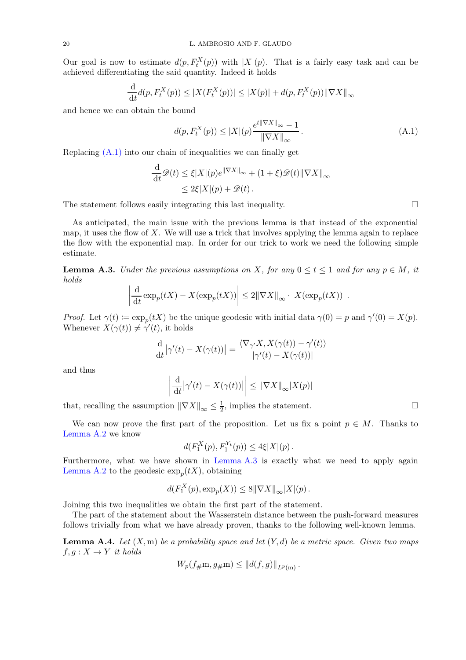Our goal is now to estimate  $d(p, F_t^X(p))$  with  $|X|(p)$ . That is a fairly easy task and can be achieved differentiating the said quantity. Indeed it holds

$$
\frac{d}{dt}d(p, F_t^X(p)) \le |X(F_t^X(p))| \le |X(p)| + d(p, F_t^X(p)) \|\nabla X\|_{\infty}
$$

and hence we can obtain the bound

<span id="page-19-0"></span>
$$
d(p, F_t^X(p)) \le |X|(p) \frac{e^{t\|\nabla X\|_{\infty}} - 1}{\|\nabla X\|_{\infty}}.
$$
\n(A.1)

Replacing  $(A.1)$  into our chain of inequalities we can finally get

$$
\frac{\mathrm{d}}{\mathrm{d}t}\mathscr{D}(t) \le \xi |X|(p)e^{\|\nabla X\|_{\infty}} + (1+\xi)\mathscr{D}(t)\|\nabla X\|_{\infty} \le 2\xi |X|(p) + \mathscr{D}(t).
$$

The statement follows easily integrating this last inequality.  $\Box$ 

As anticipated, the main issue with the previous lemma is that instead of the exponential map, it uses the flow of  $X$ . We will use a trick that involves applying the lemma again to replace the flow with the exponential map. In order for our trick to work we need the following simple estimate.

<span id="page-19-1"></span>**Lemma A.3.** Under the previous assumptions on X, for any  $0 \le t \le 1$  and for any  $p \in M$ , it holds

$$
\left| \frac{\mathrm{d}}{\mathrm{d}t} \exp_p(tX) - X(\exp_p(tX)) \right| \le 2\|\nabla X\|_{\infty} \cdot |X(\exp_p(tX))|.
$$

*Proof.* Let  $\gamma(t) := \exp_p(tX)$  be the unique geodesic with initial data  $\gamma(0) = p$  and  $\gamma'(0) = X(p)$ . Whenever  $X(\gamma(t)) \neq \gamma'(t)$ , it holds

$$
\frac{\mathrm{d}}{\mathrm{d}t} \left| \gamma'(t) - X(\gamma(t)) \right| = \frac{\langle \nabla_{\gamma'} X, X(\gamma(t)) - \gamma'(t) \rangle}{|\gamma'(t) - X(\gamma(t))|}
$$

and thus

$$
\left| \frac{\mathrm{d}}{\mathrm{d}t} \left| \gamma'(t) - X(\gamma(t)) \right| \right| \leq ||\nabla X||_{\infty} |X(p)|
$$

that, recalling the assumption  $\|\nabla X\|_{\infty} \leq \frac{1}{2}$  $\frac{1}{2}$ , implies the statement.

We can now prove the first part of the proposition. Let us fix a point  $p \in M$ . Thanks to [Lemma A.2](#page-18-0) we know

$$
d(F_1^X(p), F_1^{Y_t}(p)) \le 4\xi |X|(p).
$$

Furthermore, what we have shown in [Lemma A.3](#page-19-1) is exactly what we need to apply again [Lemma A.2](#page-18-0) to the geodesic  $\exp_p(tX)$ , obtaining

$$
d(F_1^X(p), \exp_p(X)) \leq 8\|\nabla X\|_{\infty}|X|(p).
$$

Joining this two inequalities we obtain the first part of the statement.

The part of the statement about the Wasserstein distance between the push-forward measures follows trivially from what we have already proven, thanks to the following well-known lemma.

**Lemma A.4.** Let  $(X, m)$  be a probability space and let  $(Y, d)$  be a metric space. Given two maps  $f, g: X \to Y$  it holds

$$
W_p(f_{\#}m, g_{\#}m) \leq ||d(f, g)||_{L^p(m)}.
$$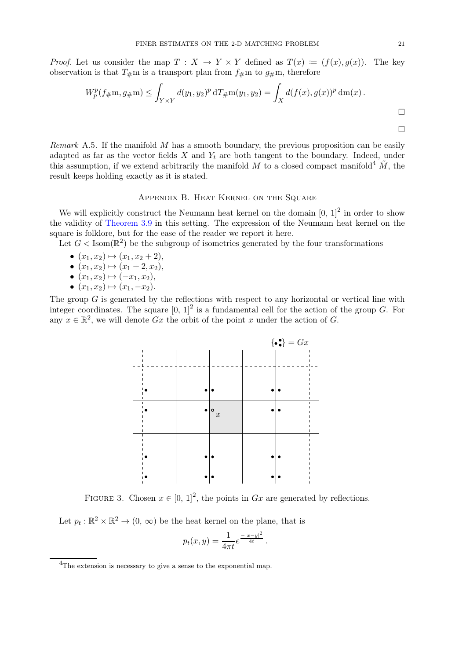*Proof.* Let us consider the map  $T : X \to Y \times Y$  defined as  $T(x) := (f(x), g(x))$ . The key observation is that  $T_{\#}$ m is a transport plan from  $f_{\#}$ m to  $g_{\#}$ m, therefore

$$
W_p^p(f_{\#}m, g_{\#}m) \le \int_{Y \times Y} d(y_1, y_2)^p dT_{\#}m(y_1, y_2) = \int_X d(f(x), g(x))^p dm(x).
$$

Remark A.5. If the manifold M has a smooth boundary, the previous proposition can be easily adapted as far as the vector fields  $X$  and  $Y_t$  are both tangent to the boundary. Indeed, under this assumption, if we extend arbitrarily the manifold M to a closed compact manifold<sup>4</sup>  $\tilde{M}$ , the result keeps holding exactly as it is stated.

### Appendix B. Heat Kernel on the Square

<span id="page-20-0"></span>We will explicitly construct the Neumann heat kernel on the domain  $[0, 1]^2$  in order to show the validity of [Theorem 3.9](#page-7-0) in this setting. The expression of the Neumann heat kernel on the square is folklore, but for the ease of the reader we report it here.

Let  $G < Isom(\mathbb{R}^2)$  be the subgroup of isometries generated by the four transformations

- $(x_1, x_2) \mapsto (x_1, x_2 + 2),$
- $(x_1, x_2) \mapsto (x_1 + 2, x_2),$
- $(x_1, x_2) \mapsto (-x_1, x_2),$
- $(x_1, x_2) \mapsto (x_1, -x_2).$

The group  $G$  is generated by the reflections with respect to any horizontal or vertical line with integer coordinates. The square  $[0, 1]^2$  is a fundamental cell for the action of the group G. For any  $x \in \mathbb{R}^2$ , we will denote  $Gx$  the orbit of the point x under the action of G.



FIGURE 3. Chosen  $x \in [0, 1]^2$ , the points in  $Gx$  are generated by reflections.

Let  $p_t : \mathbb{R}^2 \times \mathbb{R}^2 \to (0, \infty)$  be the heat kernel on the plane, that is

$$
p_t(x,y) = \frac{1}{4\pi t} e^{\frac{-|x-y|^2}{4t}}.
$$

<sup>&</sup>lt;sup>4</sup>The extension is necessary to give a sense to the exponential map.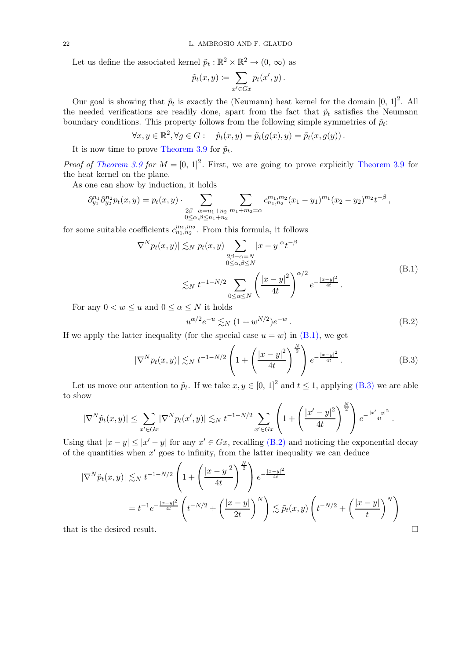Let us define the associated kernel  $\tilde{p}_t : \mathbb{R}^2 \times \mathbb{R}^2 \to (0, \infty)$  as

$$
\tilde{p}_t(x,y) \coloneqq \sum_{x' \in Gx} p_t(x',y) \, .
$$

Our goal is showing that  $\tilde{p}_t$  is exactly the (Neumann) heat kernel for the domain [0, 1]<sup>2</sup>. All the needed verifications are readily done, apart from the fact that  $\tilde{p}_t$  satisfies the Neumann boundary conditions. This property follows from the following simple symmetries of  $\tilde{p}_t$ :

$$
\forall x, y \in \mathbb{R}^2, \forall g \in G: \quad \tilde{p}_t(x, y) = \tilde{p}_t(g(x), y) = \tilde{p}_t(x, g(y)).
$$

It is now time to prove [Theorem 3.9](#page-7-0) for  $\tilde{p}_t$ .

*Proof of [Theorem 3.9](#page-7-0) for*  $M = [0, 1]^2$ . First, we are going to prove explicitly Theorem 3.9 for the heat kernel on the plane.

As one can show by induction, it holds

$$
\partial_{y_1}^{n_1} \partial_{y_2}^{n_2} p_t(x, y) = p_t(x, y) \cdot \sum_{\substack{2\beta - \alpha = n_1 + n_2 \\ 0 \le \alpha, \beta \le n_1 + n_2}} \sum_{m_1 + m_2 = \alpha} c_{n_1, n_2}^{m_1, m_2} (x_1 - y_1)^{m_1} (x_2 - y_2)^{m_2} t^{-\beta},
$$

for some suitable coefficients  $c_{n_1,n_2}^{m_1,m_2}$ . From this formula, it follows

$$
\left|\nabla^N p_t(x,y)\right| \lesssim_N p_t(x,y) \sum_{\substack{2\beta-\alpha=N\\0\le\alpha,\beta\le N}} \left|x-y\right|^{\alpha} t^{-\beta}
$$
  

$$
\lesssim_N t^{-1-N/2} \sum_{0\le\alpha\le N} \left(\frac{\left|x-y\right|^2}{4t}\right)^{\alpha/2} e^{-\frac{\left|x-y\right|^2}{4t}}.
$$
 (B.1)

For any  $0 < w \leq u$  and  $0 \leq \alpha \leq N$  it holds

<span id="page-21-2"></span><span id="page-21-0"></span>
$$
u^{\alpha/2}e^{-u} \lesssim_N (1 + w^{N/2})e^{-w}.
$$
 (B.2)

If we apply the latter inequality (for the special case  $u = w$ ) in [\(B.1\),](#page-21-0) we get

<span id="page-21-1"></span>
$$
|\nabla^N p_t(x,y)| \lesssim_N t^{-1-N/2} \left(1 + \left(\frac{|x-y|^2}{4t}\right)^{\frac{N}{2}}\right) e^{-\frac{|x-y|^2}{4t}}.
$$
 (B.3)

Let us move our attention to  $\tilde{p}_t$ . If we take  $x, y \in [0, 1]^2$  and  $t \le 1$ , applying [\(B.3\)](#page-21-1) we are able to show

$$
|\nabla^N \tilde{p}_t(x,y)| \leq \sum_{x' \in Gx} |\nabla^N p_t(x',y)| \lesssim_N t^{-1-N/2} \sum_{x' \in Gx} \left(1 + \left(\frac{|x'-y|^2}{4t}\right)^{\frac{N}{2}}\right) e^{-\frac{|x'-y|^2}{4t}}.
$$

Using that  $|x - y| \le |x' - y|$  for any  $x' \in Gx$ , recalling [\(B.2\)](#page-21-2) and noticing the exponential decay of the quantities when  $x'$  goes to infinity, from the latter inequality we can deduce

$$
\begin{aligned} |\nabla^N \tilde{p}_t(x, y)| \lesssim_N t^{-1-N/2} \left( 1 + \left( \frac{|x - y|^2}{4t} \right)^{\frac{N}{2}} \right) e^{-\frac{|x - y|^2}{4t}} \\ &= t^{-1} e^{-\frac{|x - y|^2}{4t}} \left( t^{-N/2} + \left( \frac{|x - y|}{2t} \right)^N \right) \lesssim \tilde{p}_t(x, y) \left( t^{-N/2} + \left( \frac{|x - y|}{t} \right)^N \right) \end{aligned}
$$
is the desired result

that is the desired result.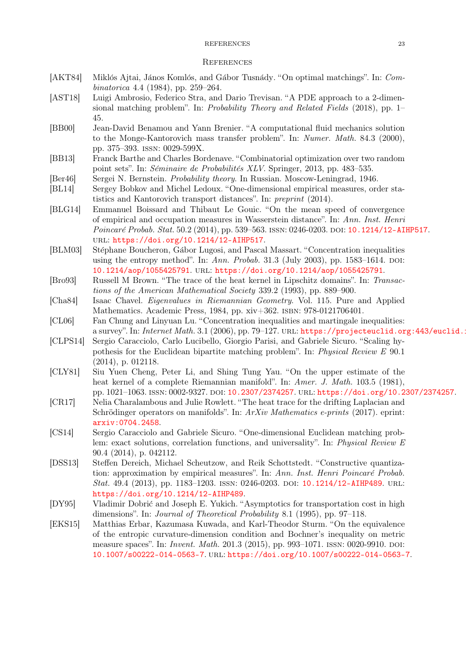#### REFERENCES 23

### <span id="page-22-1"></span>**REFERENCES**

- <span id="page-22-7"></span><span id="page-22-0"></span>[AKT84] Miklós Ajtai, János Komlós, and Gábor Tusnády. "On optimal matchings". In: Combinatorica 4.4 (1984), pp. 259–264.
- [AST18] Luigi Ambrosio, Federico Stra, and Dario Trevisan. "A PDE approach to a 2-dimensional matching problem". In: Probability Theory and Related Fields (2018), pp. 1– 45.
- <span id="page-22-17"></span>[BB00] Jean-David Benamou and Yann Brenier. "A computational fluid mechanics solution to the Monge-Kantorovich mass transfer problem". In: Numer. Math. 84.3 (2000), pp. 375–393. issn: 0029-599X.
- <span id="page-22-14"></span><span id="page-22-6"></span>[BB13] Franck Barthe and Charles Bordenave. "Combinatorial optimization over two random point sets". In: Séminaire de Probabilités XLV. Springer, 2013, pp. 483–535.
- <span id="page-22-4"></span>[Ber46] Sergei N. Bernstein. *Probability theory*. In Russian. Moscow-Leningrad, 1946.
- [BL14] Sergey Bobkov and Michel Ledoux. "One-dimensional empirical measures, order statistics and Kantorovich transport distances". In: preprint (2014).
- <span id="page-22-3"></span>[BLG14] Emmanuel Boissard and Thibaut Le Gouic. "On the mean speed of convergence of empirical and occupation measures in Wasserstein distance". In: Ann. Inst. Henri Poincaré Probab. Stat. 50.2 (2014), pp. 539–563. ISSN: 0246-0203. DOI: [10.1214/12-AIHP517](http://dx.doi.org/10.1214/12-AIHP517). url: <https://doi.org/10.1214/12-AIHP517>.
- <span id="page-22-16"></span>[BLM03] Stéphane Boucheron, Gábor Lugosi, and Pascal Massart. "Concentration inequalities" using the entropy method". In: Ann. Probab. 31.3 (July 2003), pp. 1583–1614. DOI: [10.1214/aop/1055425791](http://dx.doi.org/10.1214/aop/1055425791). url: <https://doi.org/10.1214/aop/1055425791>.
- <span id="page-22-11"></span>[Bro93] Russell M Brown. "The trace of the heat kernel in Lipschitz domains". In: Transactions of the American Mathematical Society 339.2 (1993), pp. 889–900.
- <span id="page-22-15"></span><span id="page-22-10"></span>[Cha84] Isaac Chavel. Eigenvalues in Riemannian Geometry. Vol. 115. Pure and Applied Mathematics. Academic Press, 1984, pp. xiv+362. isbn: 978-0121706401.
- [CL06] Fan Chung and Linyuan Lu. "Concentration inequalities and martingale inequalities: a survey". In: Internet Math. 3.1 (2006), pp. 79-127. URL: https://projecteuclid.org:443/euclid.:
- <span id="page-22-8"></span>[CLPS14] Sergio Caracciolo, Carlo Lucibello, Giorgio Parisi, and Gabriele Sicuro. "Scaling hypothesis for the Euclidean bipartite matching problem". In: Physical Review E 90.1 (2014), p. 012118.
- <span id="page-22-13"></span>[CLY81] Siu Yuen Cheng, Peter Li, and Shing Tung Yau. "On the upper estimate of the heat kernel of a complete Riemannian manifold". In: Amer. J. Math. 103.5 (1981), pp. 1021-1063. ISSN: 0002-9327. DOI: [10.2307/2374257](http://dx.doi.org/10.2307/2374257). URL: <https://doi.org/10.2307/2374257>.
- <span id="page-22-12"></span>[CR17] Nelia Charalambous and Julie Rowlett. "The heat trace for the drifting Laplacian and Schrödinger operators on manifolds". In:  $ArXiv$  Mathematics e-prints (2017). eprint: <arxiv:0704.2458>.
- <span id="page-22-9"></span>[CS14] Sergio Caracciolo and Gabriele Sicuro. "One-dimensional Euclidean matching problem: exact solutions, correlation functions, and universality". In: Physical Review E 90.4 (2014), p. 042112.
- <span id="page-22-2"></span>[DSS13] Steffen Dereich, Michael Scheutzow, and Reik Schottstedt. "Constructive quantization: approximation by empirical measures". In: Ann. Inst. Henri Poincaré Probab. Stat. 49.4 (2013), pp. 1183-1203. ISSN: 0246-0203. DOI: [10.1214/12-AIHP489](http://dx.doi.org/10.1214/12-AIHP489). URL: <https://doi.org/10.1214/12-AIHP489>.
- <span id="page-22-5"></span>[DY95] Vladimir Dobrić and Joseph E. Yukich. "Asymptotics for transportation cost in high dimensions". In: *Journal of Theoretical Probability 8.1* (1995), pp. 97–118.
- <span id="page-22-18"></span>[EKS15] Matthias Erbar, Kazumasa Kuwada, and Karl-Theodor Sturm. "On the equivalence of the entropic curvature-dimension condition and Bochner's inequality on metric measure spaces". In: *Invent. Math.* 201.3 (2015), pp. 993-1071. ISSN: 0020-9910. DOI: [10.1007/s00222-014-0563-7](http://dx.doi.org/10.1007/s00222-014-0563-7). url: <https://doi.org/10.1007/s00222-014-0563-7>.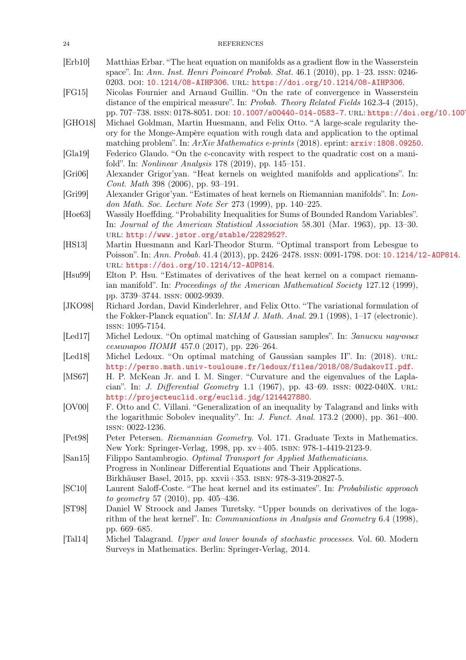<span id="page-23-18"></span><span id="page-23-17"></span><span id="page-23-16"></span><span id="page-23-15"></span><span id="page-23-14"></span><span id="page-23-13"></span><span id="page-23-12"></span><span id="page-23-11"></span><span id="page-23-10"></span><span id="page-23-9"></span><span id="page-23-8"></span><span id="page-23-7"></span><span id="page-23-6"></span><span id="page-23-5"></span><span id="page-23-4"></span><span id="page-23-3"></span><span id="page-23-2"></span><span id="page-23-1"></span><span id="page-23-0"></span>

| 24                             | <b>REFERENCES</b>                                                                                                                                                                                                                                                      |
|--------------------------------|------------------------------------------------------------------------------------------------------------------------------------------------------------------------------------------------------------------------------------------------------------------------|
| [Erb10]                        | Matthias Erbar. "The heat equation on manifolds as a gradient flow in the Wasserstein<br>space". In: Ann. Inst. Henri Poincaré Probab. Stat. 46.1 (2010), pp. 1–23. ISSN: 0246-<br>0203. DOI: 10.1214/08-AIHP306. URL: https://doi.org/10.1214/08-AIHP306.             |
| [FG15]                         | Nicolas Fournier and Arnaud Guillin. "On the rate of convergence in Wasserstein<br>distance of the empirical measure". In: Probab. Theory Related Fields 162.3-4 (2015),<br>pp. 707-738. ISSN: 0178-8051. DOI: 10.1007/s00440-014-0583-7. URL: https://doi.org/10.1007 |
| [GHO18]                        | Michael Goldman, Martin Huesmann, and Felix Otto. "A large-scale regularity the-<br>ory for the Monge-Ampère equation with rough data and application to the optimal<br>matching problem". In: $ArXiv$ Mathematics e-prints (2018). eprint: $arxiv$ : 1808.09250.      |
| [Gla19]                        | Federico Glaudo. "On the c-concavity with respect to the quadratic cost on a mani-<br>fold". In: <i>Nonlinear Analysis</i> 178 (2019), pp. 145–151.                                                                                                                    |
| [Gri06]                        | Alexander Grigor'yan. "Heat kernels on weighted manifolds and applications". In:<br>Cont. Math 398 (2006), pp. 93-191.                                                                                                                                                 |
| [Gri99]                        | Alexander Grigor'yan. "Estimates of heat kernels on Riemannian manifolds". In: Lon-<br>don Math. Soc. Lecture Note Ser 273 (1999), pp. $140-225$ .                                                                                                                     |
| [He63]                         | Wassily Hoeffding. "Probability Inequalities for Sums of Bounded Random Variables".<br>In: Journal of the American Statistical Association 58.301 (Mar. 1963), pp. 13-30.<br>URL: http://www.jstor.org/stable/2282952?.                                                |
| [HS13]                         | Martin Huesmann and Karl-Theodor Sturm. "Optimal transport from Lebesgue to<br>Poisson". In: Ann. Probab. 41.4 (2013), pp. 2426-2478. ISSN: 0091-1798. DOI: 10.1214/12-A0P814.<br>URL: https://doi.org/10.1214/12-A0P814.                                              |
| [Hsu99]                        | Elton P. Hsu. "Estimates of derivatives of the heat kernel on a compact riemann-<br>ian manifold". In: Proceedings of the American Mathematical Society 127.12 (1999),<br>pp. 3739-3744. ISSN: 0002-9939.                                                              |
| [ <sub>JK098</sub> ]           | Richard Jordan, David Kinderlehrer, and Felix Otto. "The variational formulation of<br>the Fokker-Planck equation". In: $SIAM J. Math. Anal. 29.1 (1998), 1-17$ (electronic).<br>ISSN: 1095-7154.                                                                      |
| [Led17]                        | Michel Ledoux. "On optimal matching of Gaussian samples". In: Записки научных<br>семинаров ПОМИ 457.0 (2017), pp. 226-264.                                                                                                                                             |
| [Led18]                        | Michel Ledoux. "On optimal matching of Gaussian samples II". In: (2018). URL:<br>http://perso.math.univ-toulouse.fr/ledoux/files/2018/08/SudakovII.pdf.                                                                                                                |
| [MS67]                         | H. P. McKean Jr. and I. M. Singer. "Curvature and the eigenvalues of the Lapla-<br>cian". In: <i>J. Differential Geometry</i> 1.1 (1967), pp. 43-69. ISSN: 0022-040X. URL:<br>http://projecteuclid.org/euclid.jdg/1214427880.                                          |
| [OV00]                         | F. Otto and C. Villani. "Generalization of an inequality by Talagrand and links with<br>the logarithmic Sobolev inequality". In: J. Funct. Anal. 173.2 (2000), pp. $361-400$ .<br>ISSN: 0022-1236.                                                                     |
| [Pet98]                        | Peter Petersen. Riemannian Geometry. Vol. 171. Graduate Texts in Mathematics.<br>New York: Springer-Verlag, 1998, pp. xv+405. ISBN: 978-1-4419-2123-9.                                                                                                                 |
| $\lbrack \text{San15} \rbrack$ | Filippo Santambrogio. Optimal Transport for Applied Mathematicians.<br>Progress in Nonlinear Differential Equations and Their Applications.<br>Birkhäuser Basel, 2015, pp. xxvii+353. ISBN: 978-3-319-20827-5.                                                         |
| [SC10]                         | Laurent Saloff-Coste. "The heat kernel and its estimates". In: Probabilistic approach<br>to geometry 57 (2010), pp. 405-436.                                                                                                                                           |
| [ST98]                         | Daniel W Stroock and James Turetsky. "Upper bounds on derivatives of the loga-<br>rithm of the heat kernel". In: <i>Communications in Analysis and Geometry</i> 6.4 (1998),<br>pp. 669–685.                                                                            |
| [Tal14]                        | Michel Talagrand. Upper and lower bounds of stochastic processes. Vol. 60. Modern<br>Surveys in Mathematics. Berlin: Springer-Verlag, 2014.                                                                                                                            |
|                                |                                                                                                                                                                                                                                                                        |